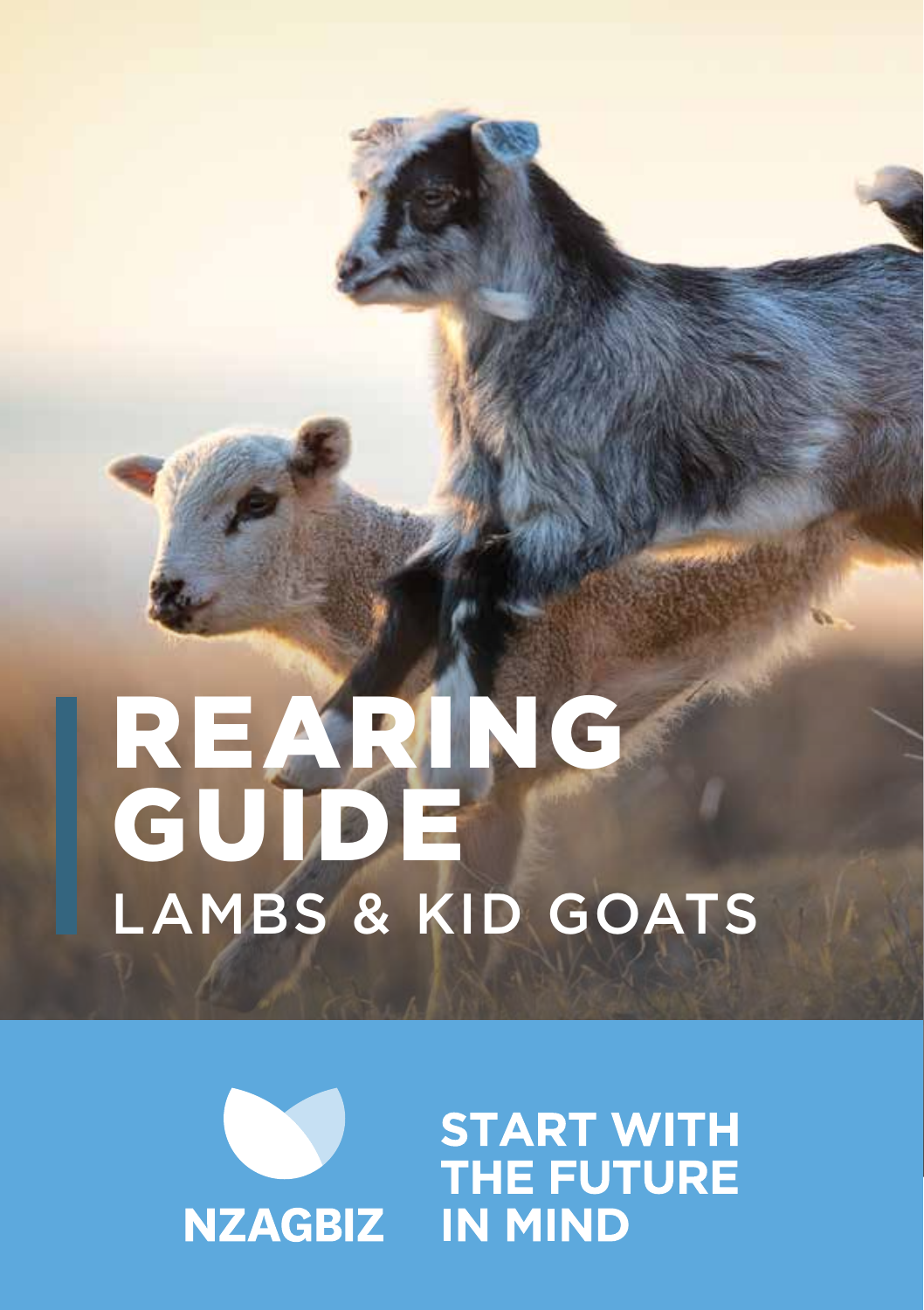# REARING GUIDE LAMBS & KID GOATS



**START WITH THE FUTURE IN MIND**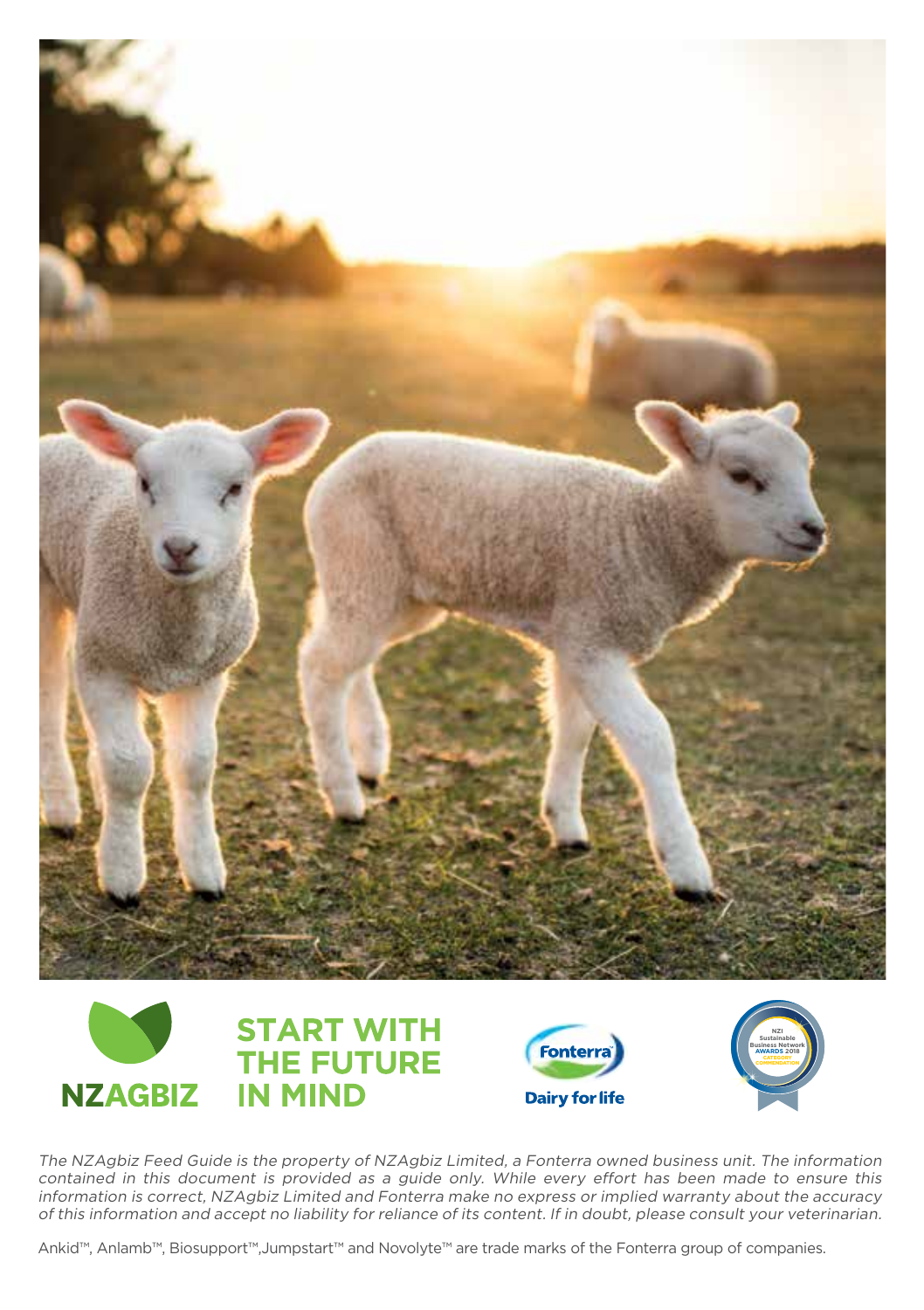



The NZAgbiz Feed Guide is the property of NZAgbiz Limited, a Fonterra owned business unit. The information contained in this document is provided as a guide only. While every effort has been made to ensure this information is correct, NZAgbiz Limited and Fonterra make no express or implied warranty about the accuracy of this information and accept no liability for reliance of its content. If in doubt, please consult your veterinarian.

Ankid™, Anlamb™, Biosupport™,Jumpstart™ and Novolyte™ are trade marks of the Fonterra group of companies.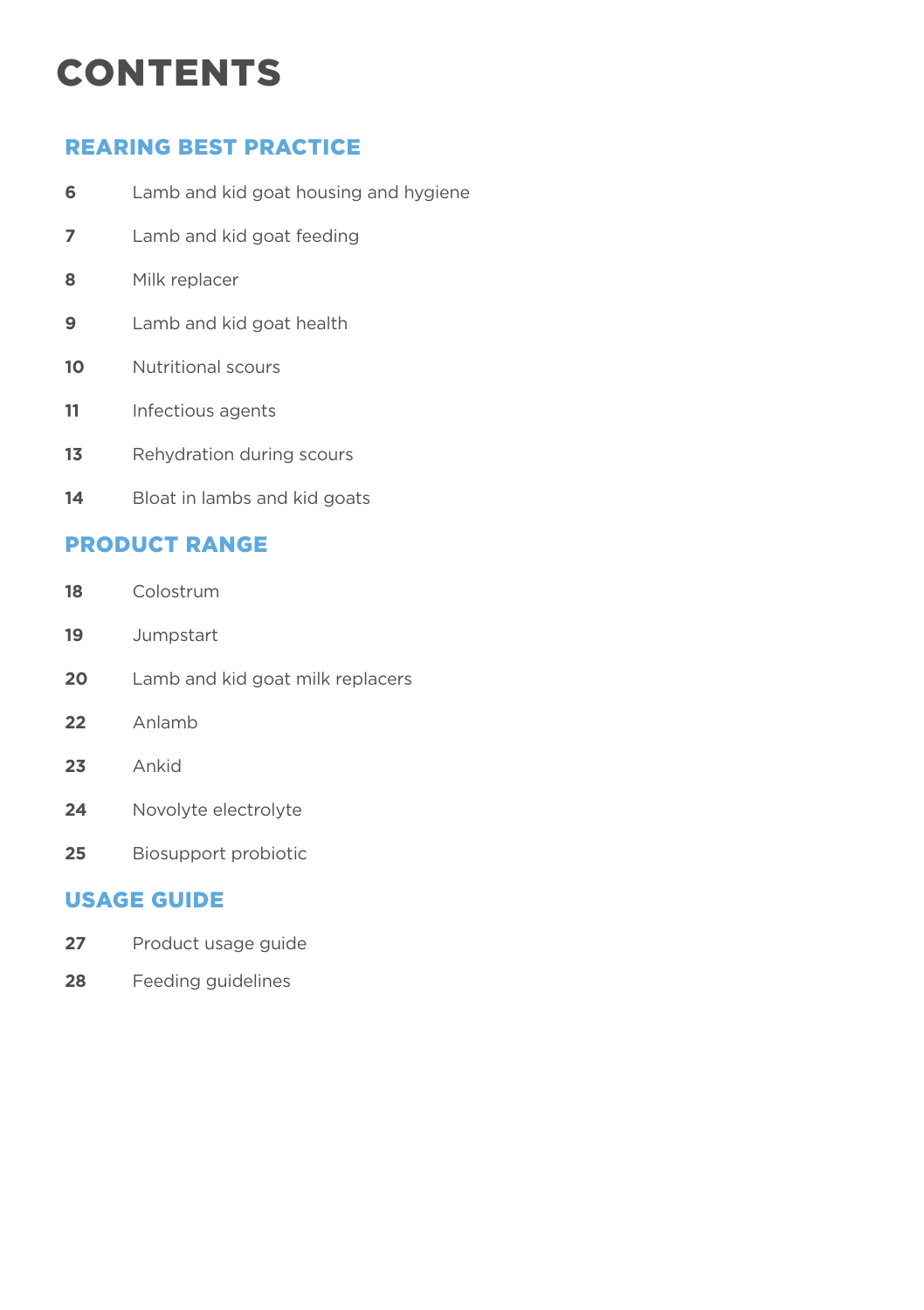### **CONTENTS**

#### REARING BEST PRACTICE

- Lamb and kid goat housing and hygiene
- Lamb and kid goat feeding
- Milk replacer
- Lamb and kid goat health
- Nutritional scours
- Infectious agents
- 13 Rehydration during scours
- Bloat in lambs and kid goats

#### PRODUCT RANGE

- Colostrum
- Jumpstart
- Lamb and kid goat milk replacers
- Anlamb
- Ankid
- Novolyte electrolyte
- Biosupport probiotic

#### USAGE GUIDE

- 27 Product usage guide
- Feeding guidelines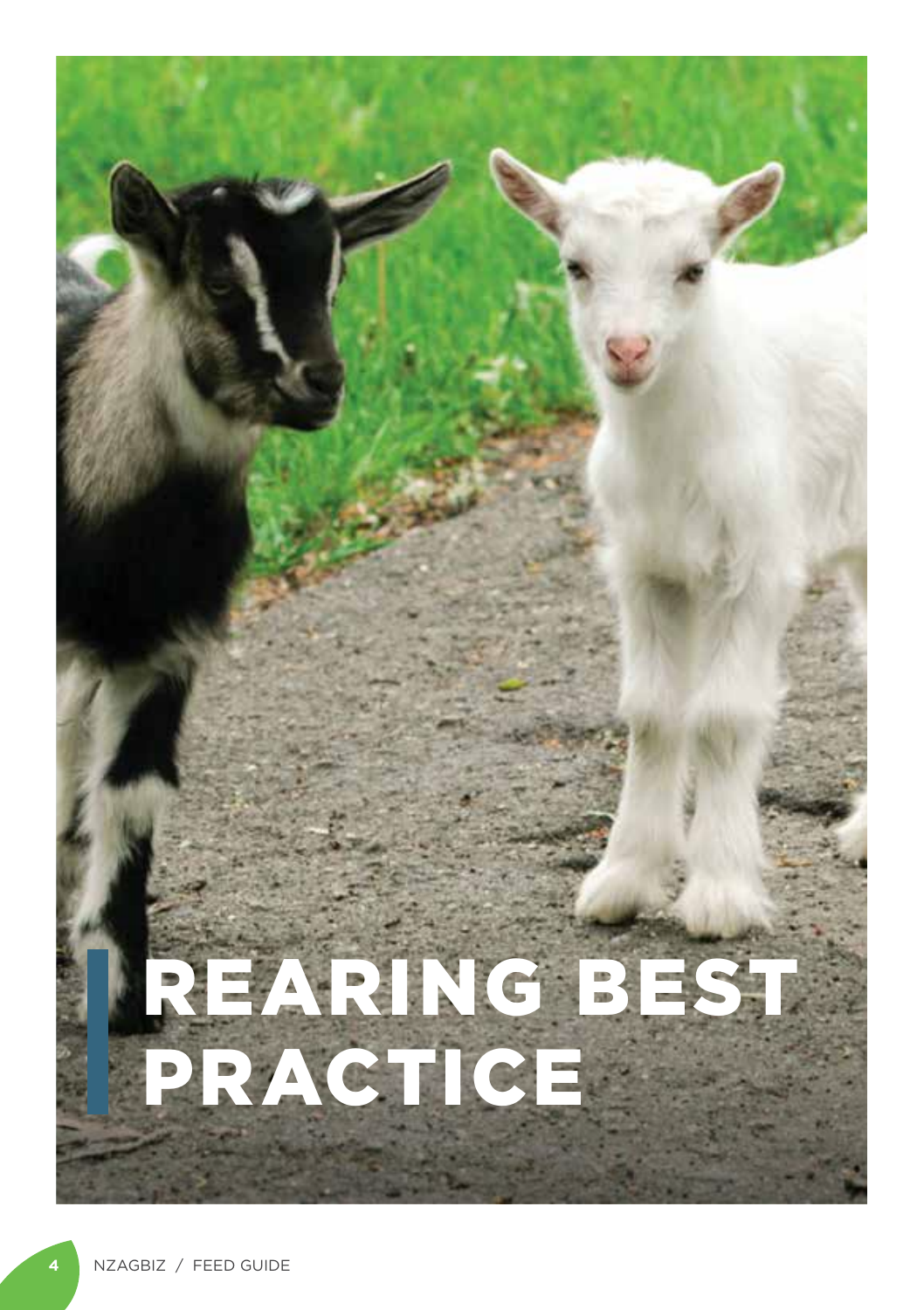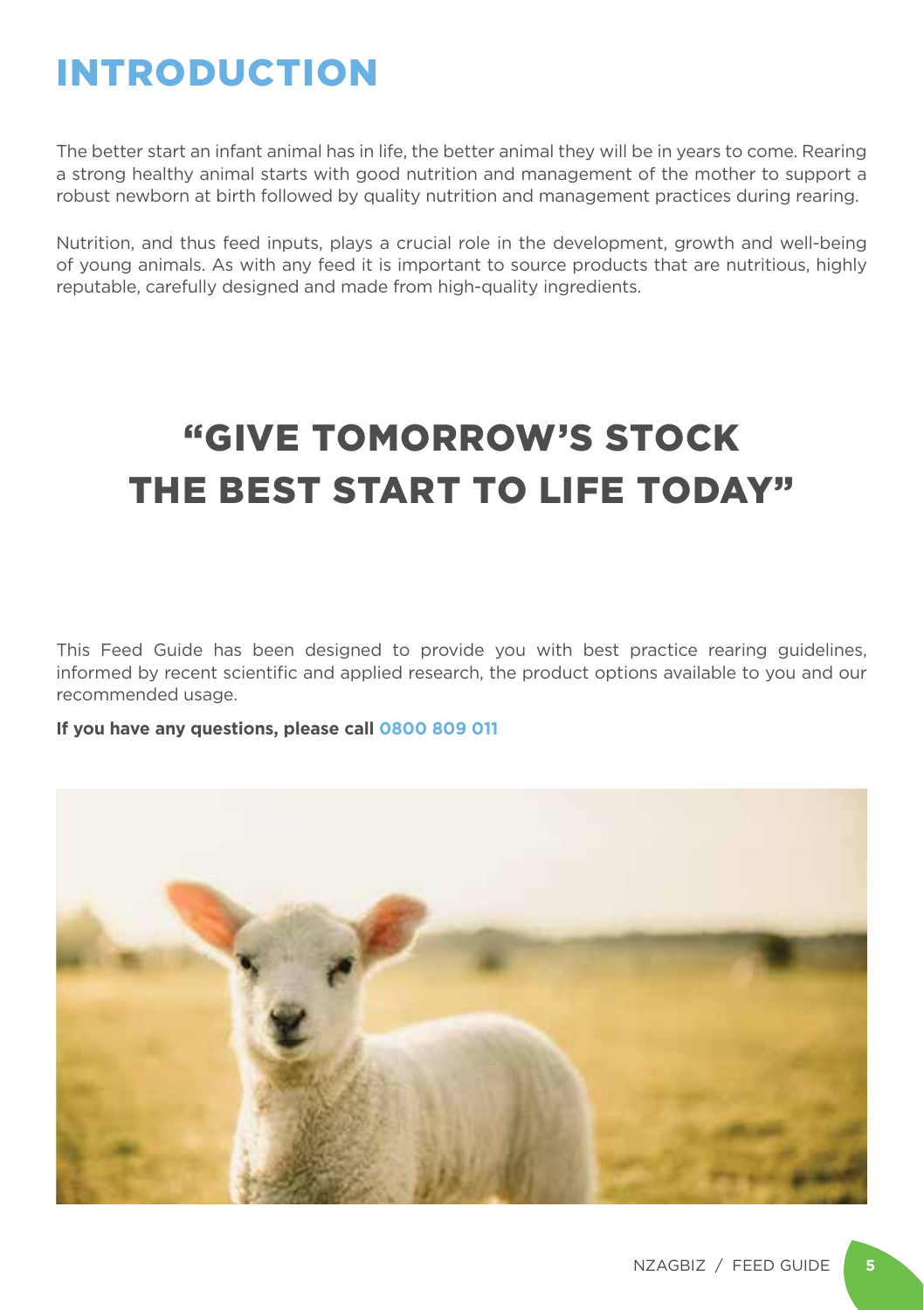### INTRODUCTION

The better start an infant animal has in life, the better animal they will be in years to come. Rearing a strong healthy animal starts with good nutrition and management of the mother to support a robust newborn at birth followed by quality nutrition and management practices during rearing.

Nutrition, and thus feed inputs, plays a crucial role in the development, growth and well-being of young animals. As with any feed it is important to source products that are nutritious, highly reputable, carefully designed and made from high-quality ingredients.

### "GIVE TOMORROW'S STOCK THE BEST START TO LIFE TODAY"

This Feed Guide has been designed to provide you with best practice rearing guidelines, informed by recent scientific and applied research, the product options available to you and our recommended usage.

**If you have any questions, please call 0800 809 011**

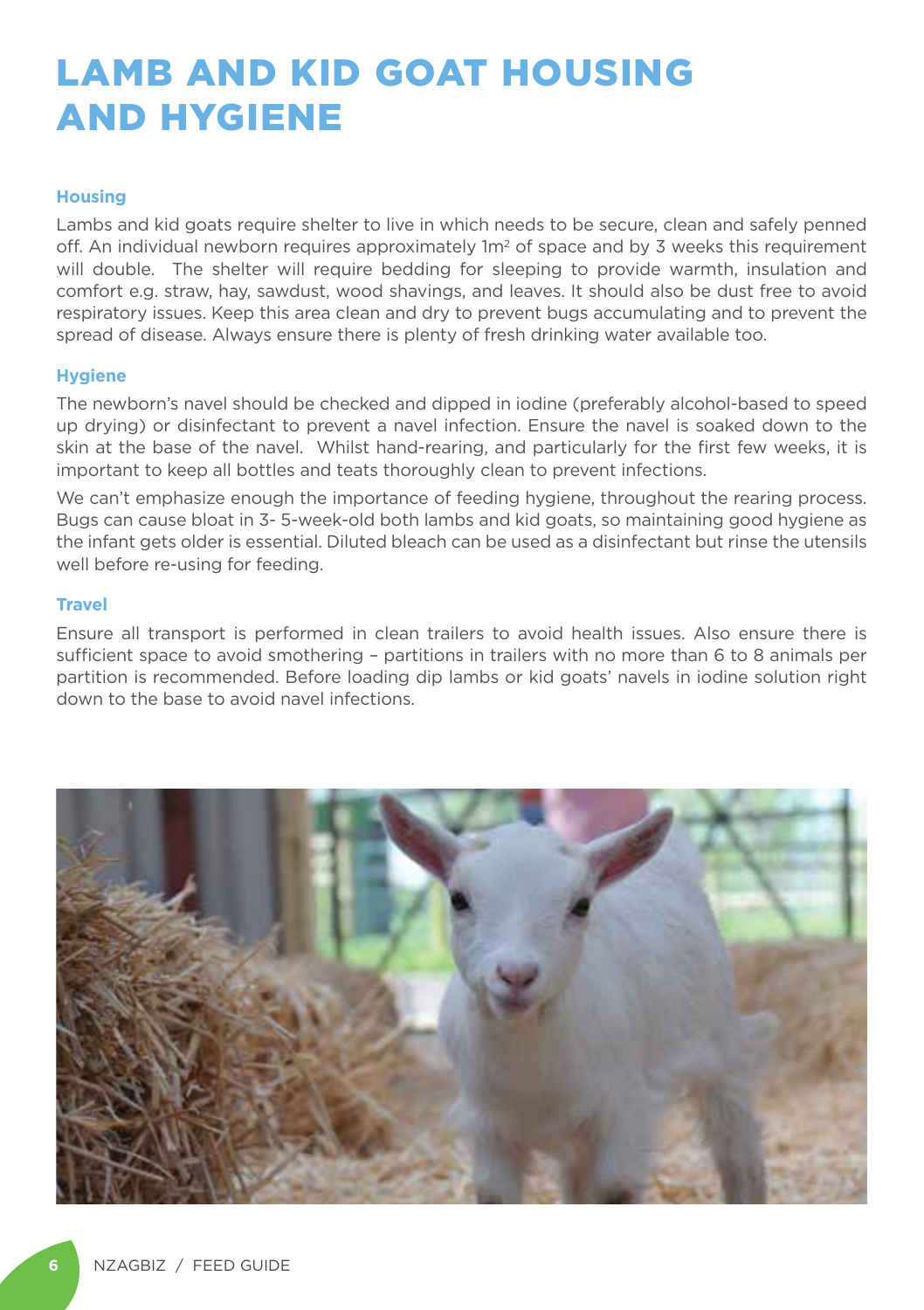### LAMB AND KID GOAT HOUSING AND HYGIENE

#### **Housing**

Lambs and kid goats require shelter to live in which needs to be secure, clean and safely penned off. An individual newborn requires approximately  $1m<sup>2</sup>$  of space and by 3 weeks this requirement will double. The shelter will require bedding for sleeping to provide warmth, insulation and comfort e.g. straw, hay, sawdust, wood shavings, and leaves. It should also be dust free to avoid respiratory issues. Keep this area clean and dry to prevent bugs accumulating and to prevent the spread of disease. Always ensure there is plenty of fresh drinking water available too.

#### **Hygiene**

The newborn's navel should be checked and dipped in iodine (preferably alcohol-based to speed up drying) or disinfectant to prevent a navel infection. Ensure the navel is soaked down to the skin at the base of the navel. Whilst hand-rearing, and particularly for the first few weeks, it is important to keep all bottles and teats thoroughly clean to prevent infections.

We can't emphasize enough the importance of feeding hygiene, throughout the rearing process. Bugs can cause bloat in 3- 5-week-old both lambs and kid goats, so maintaining good hygiene as the infant gets older is essential. Diluted bleach can be used as a disinfectant but rinse the utensils well before re-using for feeding.

#### **Travel**

Ensure all transport is performed in clean trailers to avoid health issues. Also ensure there is sufficient space to avoid smothering – partitions in trailers with no more than 6 to 8 animals per partition is recommended. Before loading dip lambs or kid goats' navels in iodine solution right down to the base to avoid navel infections.

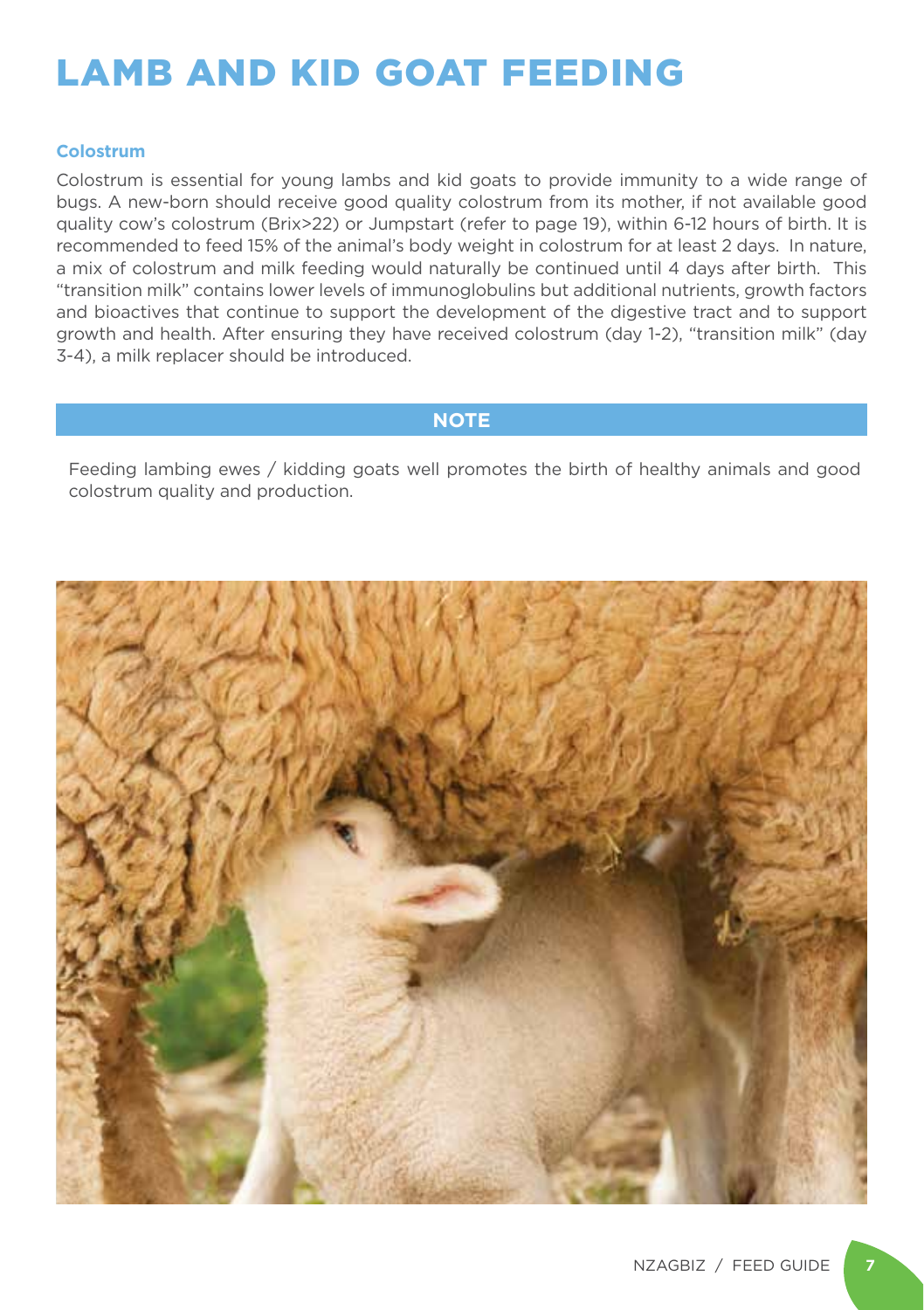### LAMB AND KID GOAT FEEDING

#### **Colostrum**

Colostrum is essential for young lambs and kid goats to provide immunity to a wide range of bugs. A new-born should receive good quality colostrum from its mother, if not available good quality cow's colostrum (Brix>22) or Jumpstart (refer to page 19), within 6-12 hours of birth. It is recommended to feed 15% of the animal's body weight in colostrum for at least 2 days. In nature, a mix of colostrum and milk feeding would naturally be continued until 4 days after birth. This "transition milk" contains lower levels of immunoglobulins but additional nutrients, growth factors and bioactives that continue to support the development of the digestive tract and to support growth and health. After ensuring they have received colostrum (day 1-2), "transition milk" (day 3-4), a milk replacer should be introduced.

#### **NOTE**

Feeding lambing ewes / kidding goats well promotes the birth of healthy animals and good colostrum quality and production.

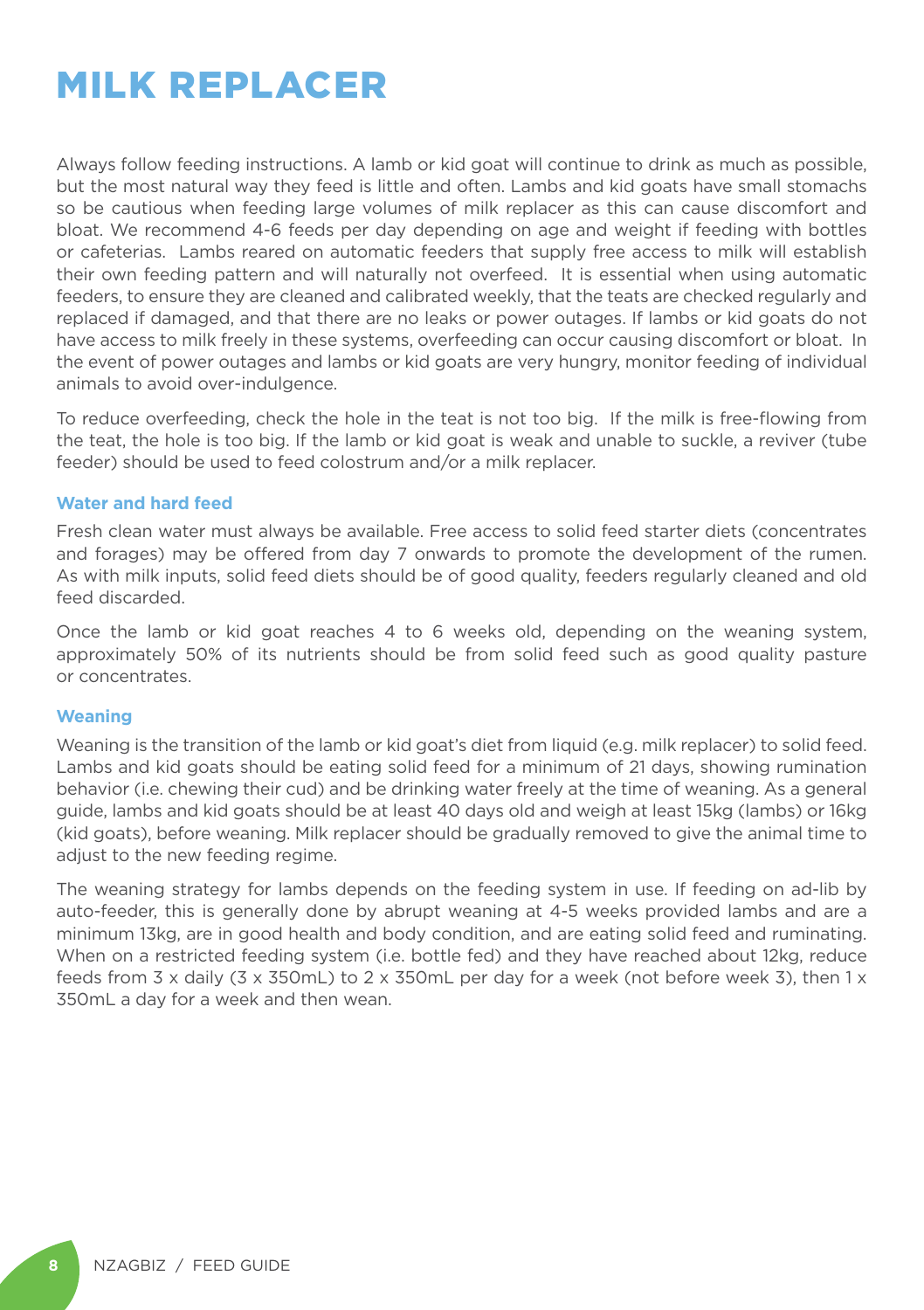### MILK REPLACER

Always follow feeding instructions. A lamb or kid goat will continue to drink as much as possible, but the most natural way they feed is little and often. Lambs and kid goats have small stomachs so be cautious when feeding large volumes of milk replacer as this can cause discomfort and bloat. We recommend 4-6 feeds per day depending on age and weight if feeding with bottles or cafeterias. Lambs reared on automatic feeders that supply free access to milk will establish their own feeding pattern and will naturally not overfeed. It is essential when using automatic feeders, to ensure they are cleaned and calibrated weekly, that the teats are checked regularly and replaced if damaged, and that there are no leaks or power outages. If lambs or kid goats do not have access to milk freely in these systems, overfeeding can occur causing discomfort or bloat. In the event of power outages and lambs or kid goats are very hungry, monitor feeding of individual animals to avoid over-indulgence.

To reduce overfeeding, check the hole in the teat is not too big. If the milk is free-flowing from the teat, the hole is too big. If the lamb or kid goat is weak and unable to suckle, a reviver (tube feeder) should be used to feed colostrum and/or a milk replacer.

#### **Water and hard feed**

Fresh clean water must always be available. Free access to solid feed starter diets (concentrates and forages) may be offered from day 7 onwards to promote the development of the rumen. As with milk inputs, solid feed diets should be of good quality, feeders regularly cleaned and old feed discarded.

Once the lamb or kid goat reaches 4 to 6 weeks old, depending on the weaning system, approximately 50% of its nutrients should be from solid feed such as good quality pasture or concentrates.

#### **Weaning**

Weaning is the transition of the lamb or kid goat's diet from liquid (e.g. milk replacer) to solid feed. Lambs and kid goats should be eating solid feed for a minimum of 21 days, showing rumination behavior (i.e. chewing their cud) and be drinking water freely at the time of weaning. As a general guide, lambs and kid goats should be at least 40 days old and weigh at least 15kg (lambs) or 16kg (kid goats), before weaning. Milk replacer should be gradually removed to give the animal time to adjust to the new feeding regime.

The weaning strategy for lambs depends on the feeding system in use. If feeding on ad-lib by auto-feeder, this is generally done by abrupt weaning at 4-5 weeks provided lambs and are a minimum 13kg, are in good health and body condition, and are eating solid feed and ruminating. When on a restricted feeding system (i.e. bottle fed) and they have reached about 12kg, reduce feeds from 3 x daily (3 x 350mL) to 2 x 350mL per day for a week (not before week 3), then 1 x 350mL a day for a week and then wean.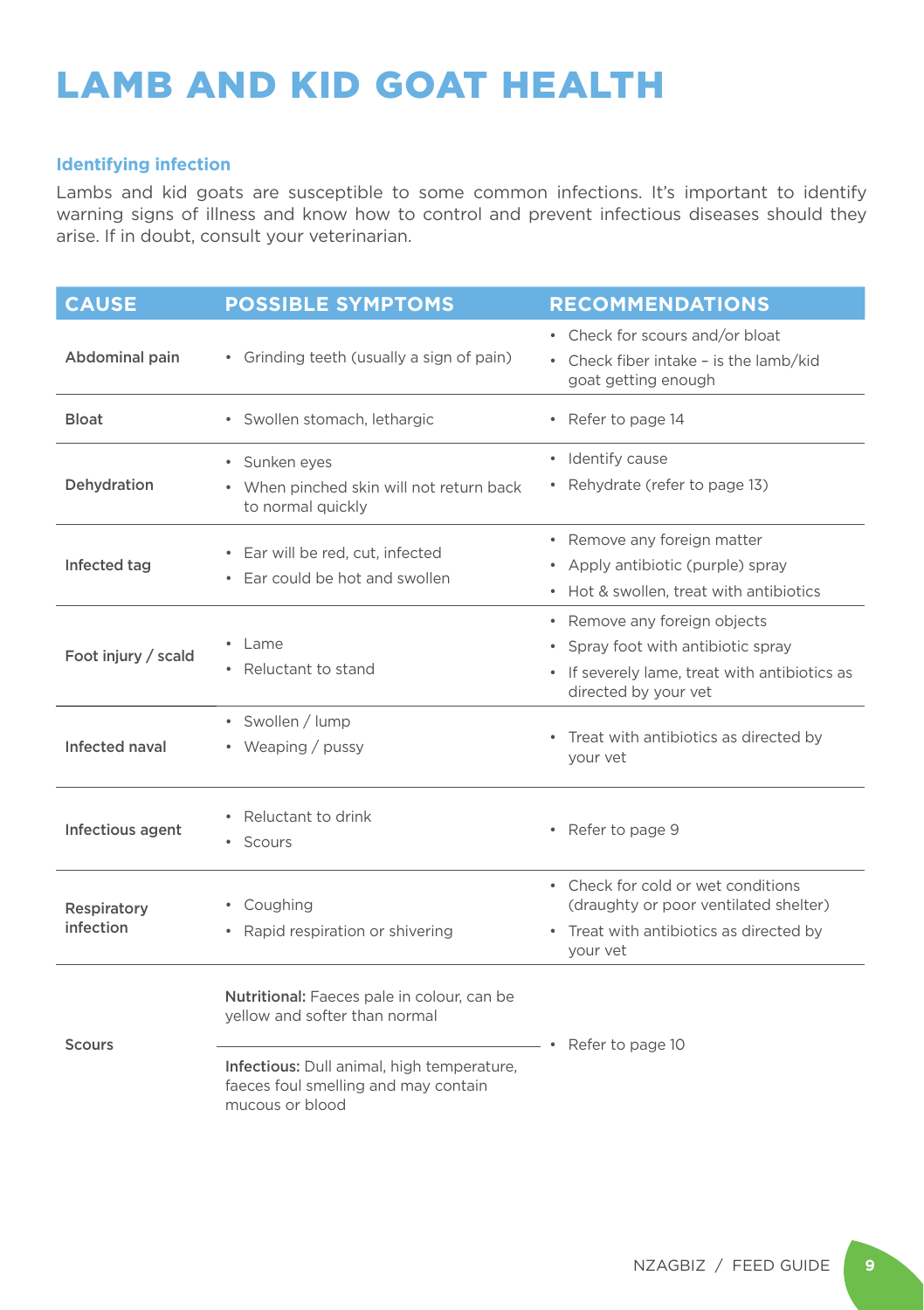### LAMB AND KID GOAT HEALTH

#### **Identifying infection**

Lambs and kid goats are susceptible to some common infections. It's important to identify warning signs of illness and know how to control and prevent infectious diseases should they arise. If in doubt, consult your veterinarian.

| <b>CAUSE</b>             | <b>POSSIBLE SYMPTOMS</b>                                                                              | <b>RECOMMENDATIONS</b>                                                                                                                      |
|--------------------------|-------------------------------------------------------------------------------------------------------|---------------------------------------------------------------------------------------------------------------------------------------------|
| Abdominal pain           | • Grinding teeth (usually a sign of pain)                                                             | • Check for scours and/or bloat<br>• Check fiber intake - is the lamb/kid<br>goat getting enough                                            |
| <b>Bloat</b>             | · Swollen stomach, lethargic                                                                          | • Refer to page 14                                                                                                                          |
| Dehydration              | · Sunken eyes<br>When pinched skin will not return back<br>$\bullet$<br>to normal quickly             | · Identify cause<br>• Rehydrate (refer to page 13)                                                                                          |
| Infected tag             | Ear will be red, cut, infected<br>Ear could be hot and swollen                                        | • Remove any foreign matter<br>• Apply antibiotic (purple) spray<br>• Hot & swollen, treat with antibiotics                                 |
| Foot injury / scald      | $\cdot$ Lame<br>Reluctant to stand                                                                    | • Remove any foreign objects<br>• Spray foot with antibiotic spray<br>• If severely lame, treat with antibiotics as<br>directed by your vet |
| Infected naval           | • Swollen / lump<br>• Weaping / pussy                                                                 | • Treat with antibiotics as directed by<br>your vet                                                                                         |
| Infectious agent         | • Reluctant to drink<br>Scours<br>$\bullet$                                                           | • Refer to page 9                                                                                                                           |
| Respiratory<br>infection | • Coughing<br>Rapid respiration or shivering<br>$\bullet$                                             | • Check for cold or wet conditions<br>(draughty or poor ventilated shelter)<br>• Treat with antibiotics as directed by<br>your vet          |
| <b>Scours</b>            | Nutritional: Faeces pale in colour, can be<br>yellow and softer than normal                           | Refer to page 10                                                                                                                            |
|                          | Infectious: Dull animal, high temperature,<br>faeces foul smelling and may contain<br>mucous or blood |                                                                                                                                             |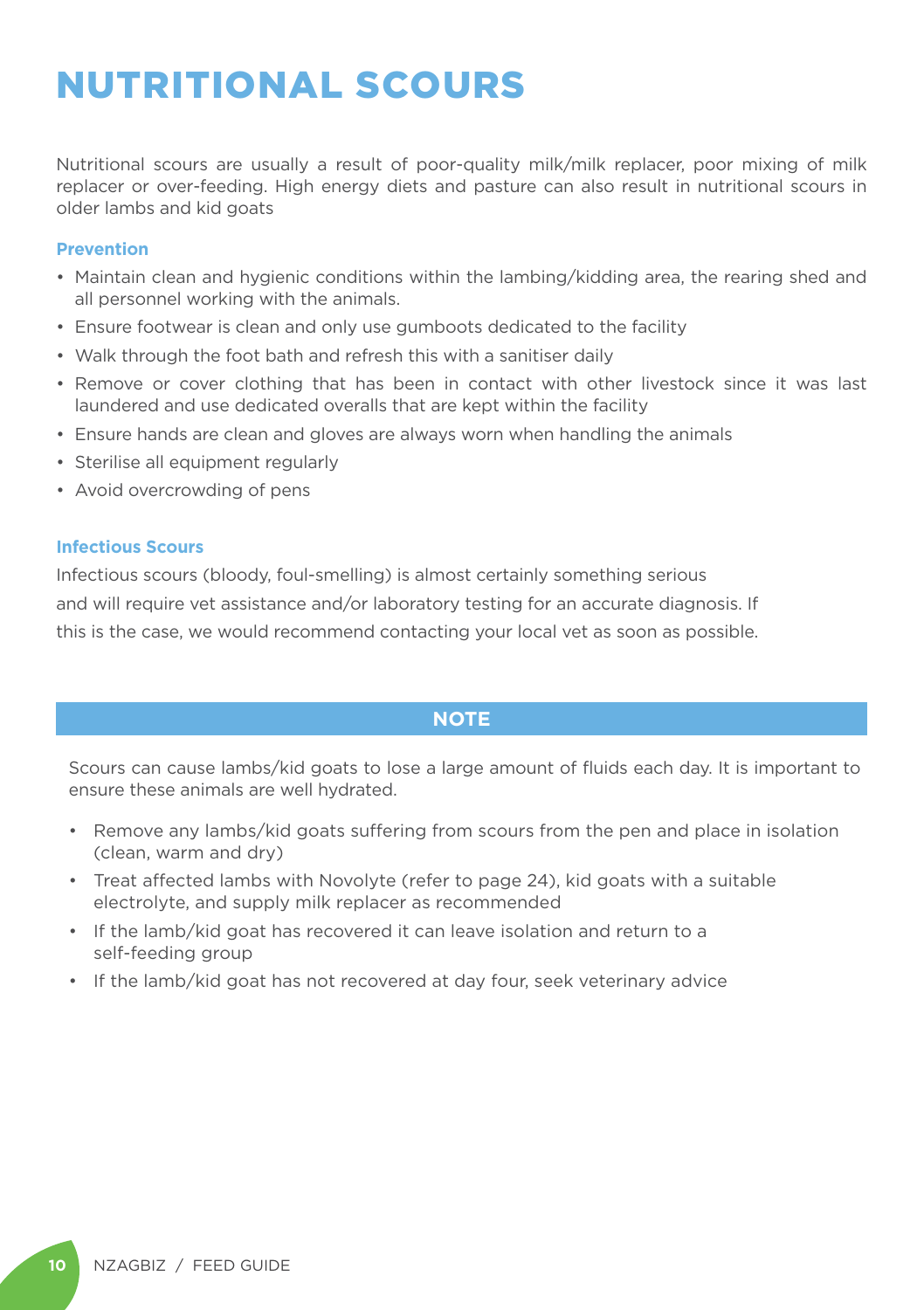### NUTRITIONAL SCOURS

Nutritional scours are usually a result of poor-quality milk/milk replacer, poor mixing of milk replacer or over-feeding. High energy diets and pasture can also result in nutritional scours in older lambs and kid goats

#### **Prevention**

- Maintain clean and hygienic conditions within the lambing/kidding area, the rearing shed and all personnel working with the animals.
- Ensure footwear is clean and only use gumboots dedicated to the facility
- Walk through the foot bath and refresh this with a sanitiser daily
- Remove or cover clothing that has been in contact with other livestock since it was last laundered and use dedicated overalls that are kept within the facility
- Ensure hands are clean and gloves are always worn when handling the animals
- Sterilise all equipment regularly
- Avoid overcrowding of pens

#### **Infectious Scours**

Infectious scours (bloody, foul-smelling) is almost certainly something serious and will require vet assistance and/or laboratory testing for an accurate diagnosis. If this is the case, we would recommend contacting your local vet as soon as possible.

#### **NOTE**

Scours can cause lambs/kid goats to lose a large amount of fluids each day. It is important to ensure these animals are well hydrated.

- Remove any lambs/kid goats suffering from scours from the pen and place in isolation (clean, warm and dry)
- Treat affected lambs with Novolyte (refer to page 24), kid goats with a suitable electrolyte, and supply milk replacer as recommended
- If the lamb/kid goat has recovered it can leave isolation and return to a self-feeding group
- If the lamb/kid goat has not recovered at day four, seek veterinary advice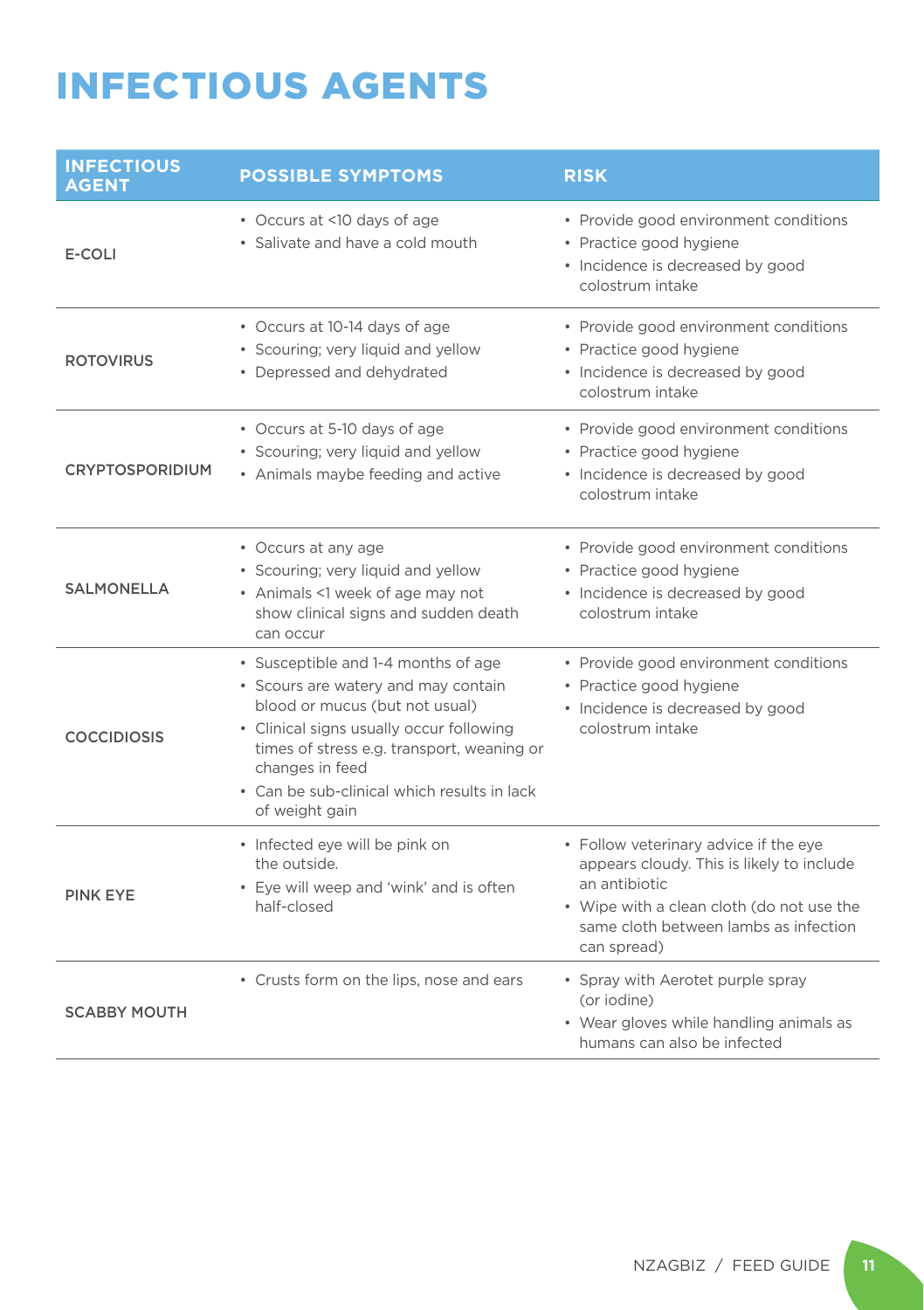### INFECTIOUS AGENTS

| <b>INFECTIOUS</b><br><b>AGENT</b> | <b>POSSIBLE SYMPTOMS</b>                                                                                                                                                                                                                                                                   | <b>RISK</b>                                                                                                                                                                                              |
|-----------------------------------|--------------------------------------------------------------------------------------------------------------------------------------------------------------------------------------------------------------------------------------------------------------------------------------------|----------------------------------------------------------------------------------------------------------------------------------------------------------------------------------------------------------|
| E-COLI                            | • Occurs at <10 days of age<br>• Salivate and have a cold mouth                                                                                                                                                                                                                            | • Provide good environment conditions<br>• Practice good hygiene<br>• Incidence is decreased by good<br>colostrum intake                                                                                 |
| <b>ROTOVIRUS</b>                  | • Occurs at 10-14 days of age<br>• Scouring; very liquid and yellow<br>• Depressed and dehydrated                                                                                                                                                                                          | • Provide good environment conditions<br>• Practice good hygiene<br>• Incidence is decreased by good<br>colostrum intake                                                                                 |
| <b>CRYPTOSPORIDIUM</b>            | • Occurs at 5-10 days of age<br>• Scouring; very liquid and yellow<br>• Animals maybe feeding and active                                                                                                                                                                                   | • Provide good environment conditions<br>• Practice good hygiene<br>• Incidence is decreased by good<br>colostrum intake                                                                                 |
| SALMONELLA                        | • Occurs at any age<br>• Scouring; very liquid and yellow<br>• Animals <1 week of age may not<br>show clinical signs and sudden death<br>can occur                                                                                                                                         | • Provide good environment conditions<br>• Practice good hygiene<br>• Incidence is decreased by good<br>colostrum intake                                                                                 |
| <b>COCCIDIOSIS</b>                | • Susceptible and 1-4 months of age<br>• Scours are watery and may contain<br>blood or mucus (but not usual)<br>• Clinical signs usually occur following<br>times of stress e.g. transport, weaning or<br>changes in feed<br>• Can be sub-clinical which results in lack<br>of weight gain | • Provide good environment conditions<br>• Practice good hygiene<br>• Incidence is decreased by good<br>colostrum intake                                                                                 |
| <b>PINK EYE</b>                   | • Infected eye will be pink on<br>the outside.<br>• Eye will weep and 'wink' and is often<br>half-closed                                                                                                                                                                                   | • Follow veterinary advice if the eye<br>appears cloudy. This is likely to include<br>an antibiotic<br>• Wipe with a clean cloth (do not use the<br>same cloth between lambs as infection<br>can spread) |
| <b>SCABBY MOUTH</b>               | • Crusts form on the lips, nose and ears                                                                                                                                                                                                                                                   | • Spray with Aerotet purple spray<br>(or iodine)<br>• Wear gloves while handling animals as<br>humans can also be infected                                                                               |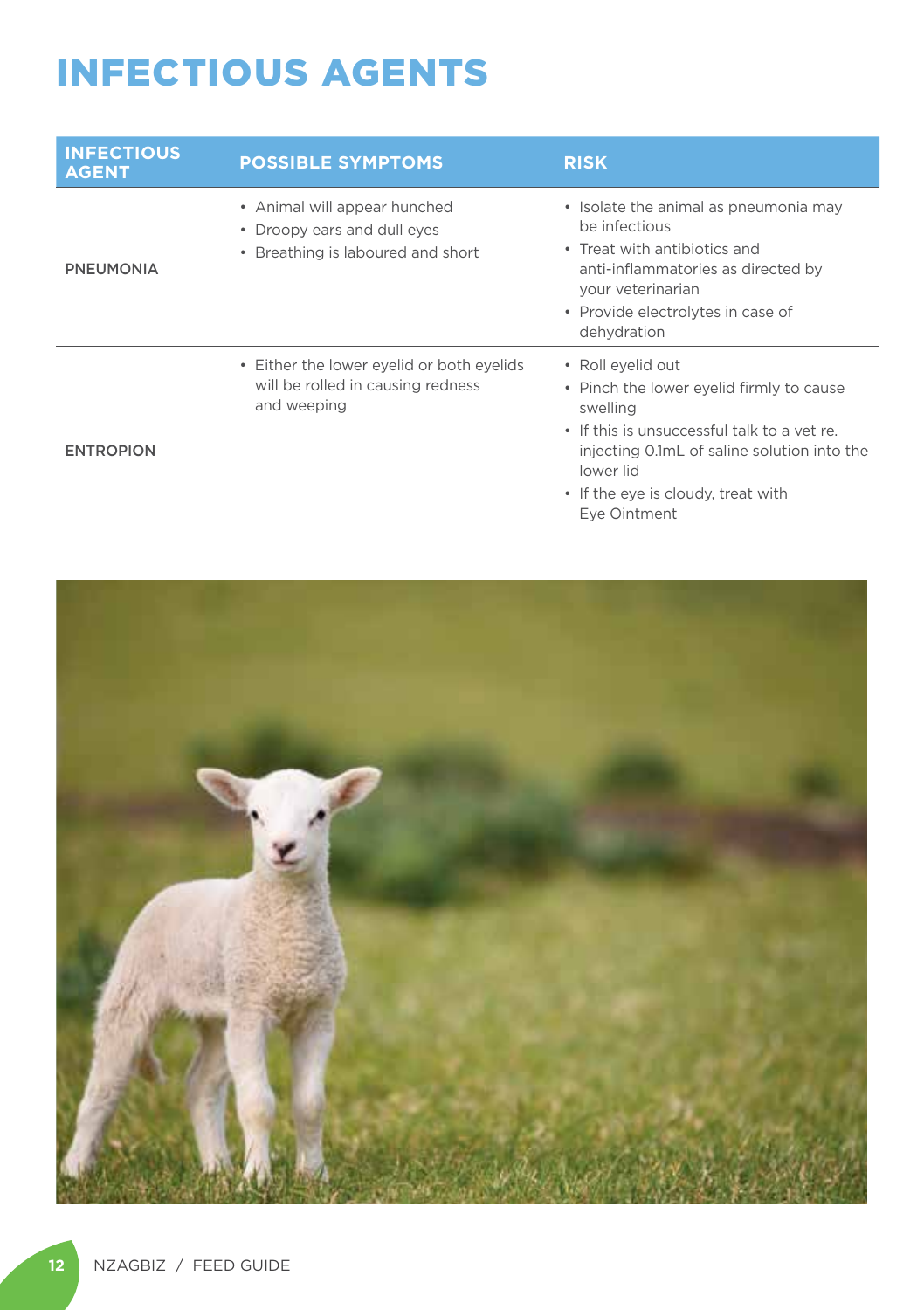### INFECTIOUS AGENTS

| <b>INFECTIOUS</b><br><b>AGENT</b> | <b>POSSIBLE SYMPTOMS</b>                                                                         | <b>RISK</b>                                                                                                                                                                                                                                |
|-----------------------------------|--------------------------------------------------------------------------------------------------|--------------------------------------------------------------------------------------------------------------------------------------------------------------------------------------------------------------------------------------------|
| <b>PNEUMONIA</b>                  | • Animal will appear hunched<br>• Droopy ears and dull eves<br>• Breathing is laboured and short | • Isolate the animal as pneumonia may<br>be infectious<br>• Treat with antibiotics and<br>anti-inflammatories as directed by<br>your veterinarian<br>• Provide electrolytes in case of<br>dehydration                                      |
| <b>ENTROPION</b>                  | • Either the lower eyelid or both eyelids<br>will be rolled in causing redness<br>and weeping    | • Roll eyelid out<br>• Pinch the lower eyelid firmly to cause<br>swelling<br>• If this is unsuccessful talk to a vet re.<br>injecting 0.1mL of saline solution into the<br>lower lid<br>• If the eye is cloudy, treat with<br>Eye Ointment |

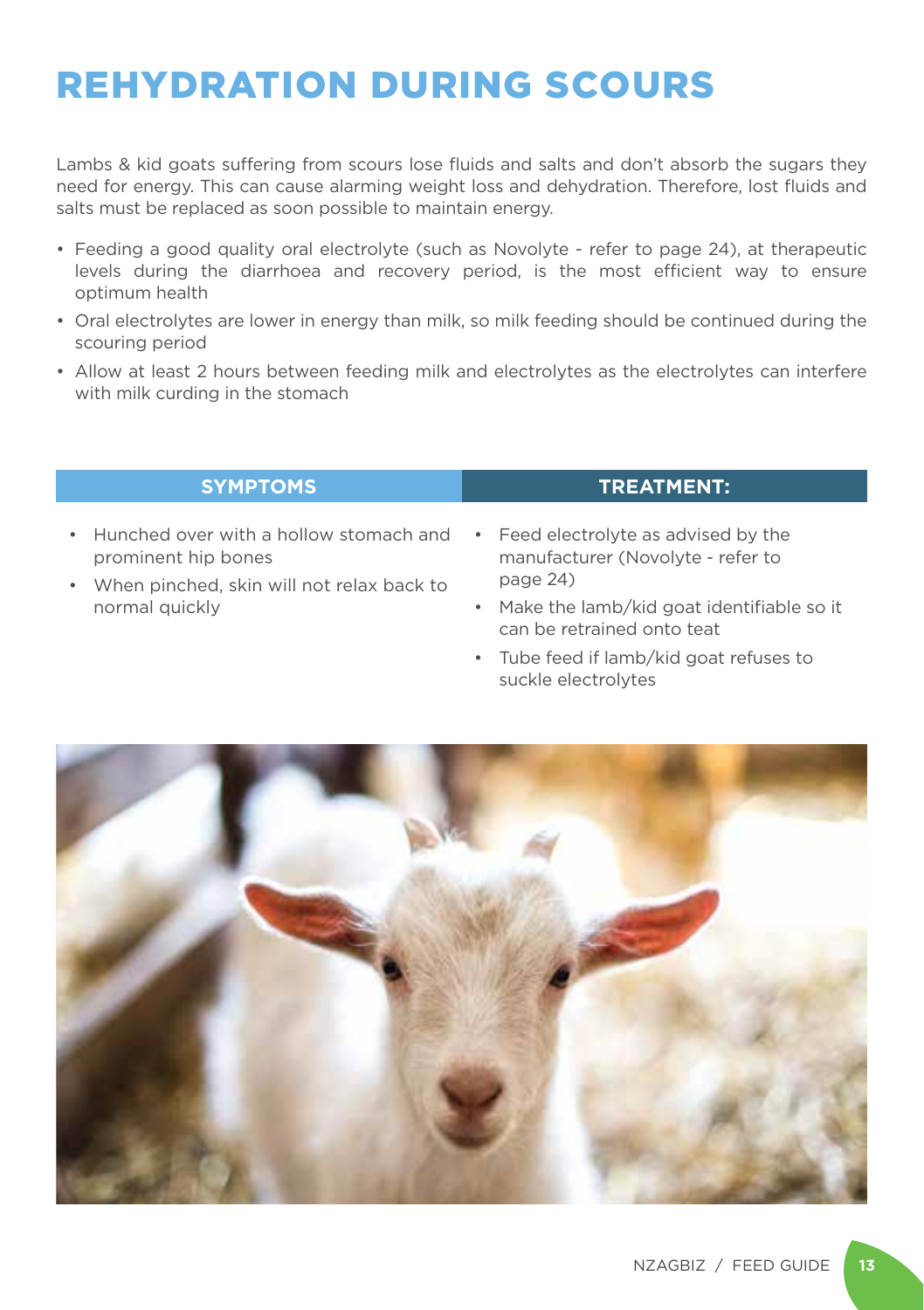### REHYDRATION DURING SCOURS

Lambs & kid goats suffering from scours lose fluids and salts and don't absorb the sugars they need for energy. This can cause alarming weight loss and dehydration. Therefore, lost fluids and salts must be replaced as soon possible to maintain energy.

- Feeding a good quality oral electrolyte (such as Novolyte refer to page 24), at therapeutic levels during the diarrhoea and recovery period, is the most efficient way to ensure optimum health
- Oral electrolytes are lower in energy than milk, so milk feeding should be continued during the scouring period
- Allow at least 2 hours between feeding milk and electrolytes as the electrolytes can interfere with milk curding in the stomach

#### **SYMPTOMS TREATMENT:**

- Hunched over with a hollow stomach and prominent hip bones
- When pinched, skin will not relax back to normal quickly
- Feed electrolyte as advised by the manufacturer (Novolyte - refer to page 24)
- Make the lamb/kid goat identifiable so it can be retrained onto teat
- Tube feed if lamb/kid goat refuses to suckle electrolytes

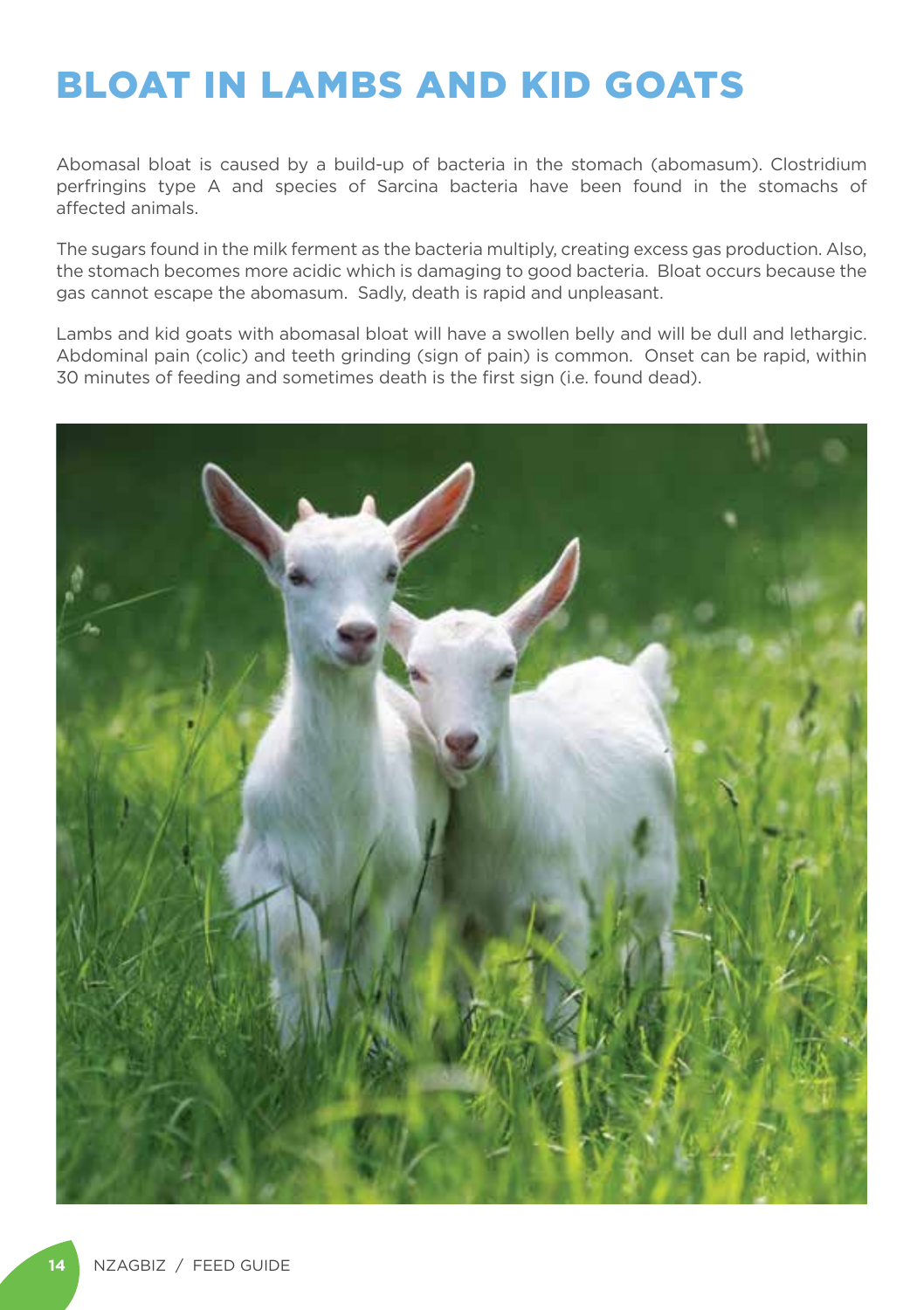### BLOAT IN LAMBS AND KID GOATS

Abomasal bloat is caused by a build-up of bacteria in the stomach (abomasum). Clostridium perfringins type A and species of Sarcina bacteria have been found in the stomachs of affected animals.

The sugars found in the milk ferment as the bacteria multiply, creating excess gas production. Also, the stomach becomes more acidic which is damaging to good bacteria. Bloat occurs because the gas cannot escape the abomasum. Sadly, death is rapid and unpleasant.

Lambs and kid goats with abomasal bloat will have a swollen belly and will be dull and lethargic. Abdominal pain (colic) and teeth grinding (sign of pain) is common. Onset can be rapid, within 30 minutes of feeding and sometimes death is the first sign (i.e. found dead).

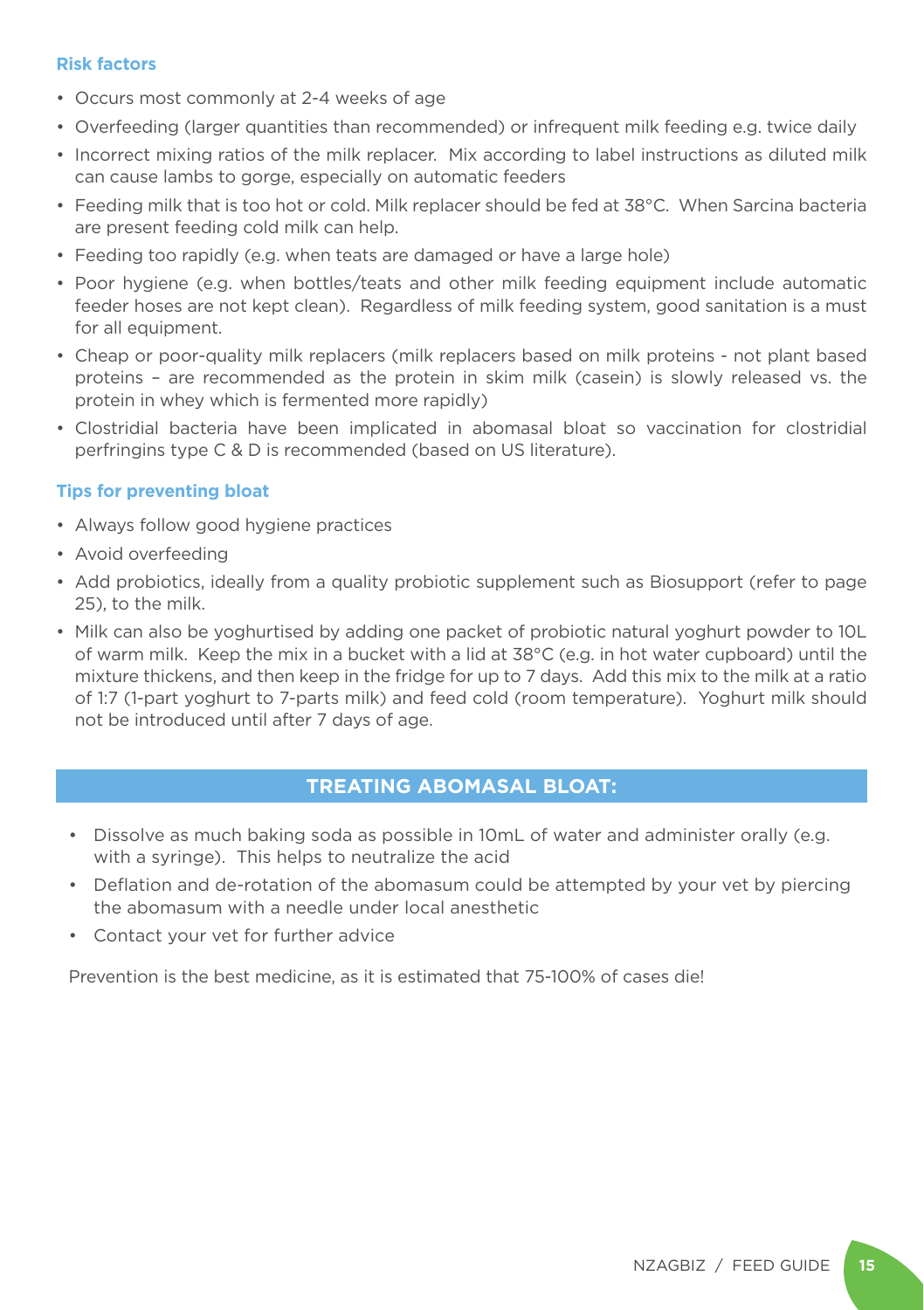#### **Risk factors**

- Occurs most commonly at 2-4 weeks of age
- Overfeeding (larger quantities than recommended) or infrequent milk feeding e.g. twice daily
- Incorrect mixing ratios of the milk replacer. Mix according to label instructions as diluted milk can cause lambs to gorge, especially on automatic feeders
- Feeding milk that is too hot or cold. Milk replacer should be fed at 38°C. When Sarcina bacteria are present feeding cold milk can help.
- Feeding too rapidly (e.g. when teats are damaged or have a large hole)
- Poor hygiene (e.g. when bottles/teats and other milk feeding equipment include automatic feeder hoses are not kept clean). Regardless of milk feeding system, good sanitation is a must for all equipment.
- Cheap or poor-quality milk replacers (milk replacers based on milk proteins not plant based proteins – are recommended as the protein in skim milk (casein) is slowly released vs. the protein in whey which is fermented more rapidly)
- Clostridial bacteria have been implicated in abomasal bloat so vaccination for clostridial perfringins type C & D is recommended (based on US literature).

#### **Tips for preventing bloat**

- Always follow good hygiene practices
- Avoid overfeeding
- Add probiotics, ideally from a quality probiotic supplement such as Biosupport (refer to page 25), to the milk.
- Milk can also be yoghurtised by adding one packet of probiotic natural yoghurt powder to 10L of warm milk. Keep the mix in a bucket with a lid at 38°C (e.g. in hot water cupboard) until the mixture thickens, and then keep in the fridge for up to 7 days. Add this mix to the milk at a ratio of 1:7 (1-part yoghurt to 7-parts milk) and feed cold (room temperature). Yoghurt milk should not be introduced until after 7 days of age.

#### **TREATING ABOMASAL BLOAT:**

- Dissolve as much baking soda as possible in 10mL of water and administer orally (e.g. with a syringe). This helps to neutralize the acid
- Deflation and de-rotation of the abomasum could be attempted by your vet by piercing the abomasum with a needle under local anesthetic
- Contact your vet for further advice

Prevention is the best medicine, as it is estimated that 75-100% of cases die!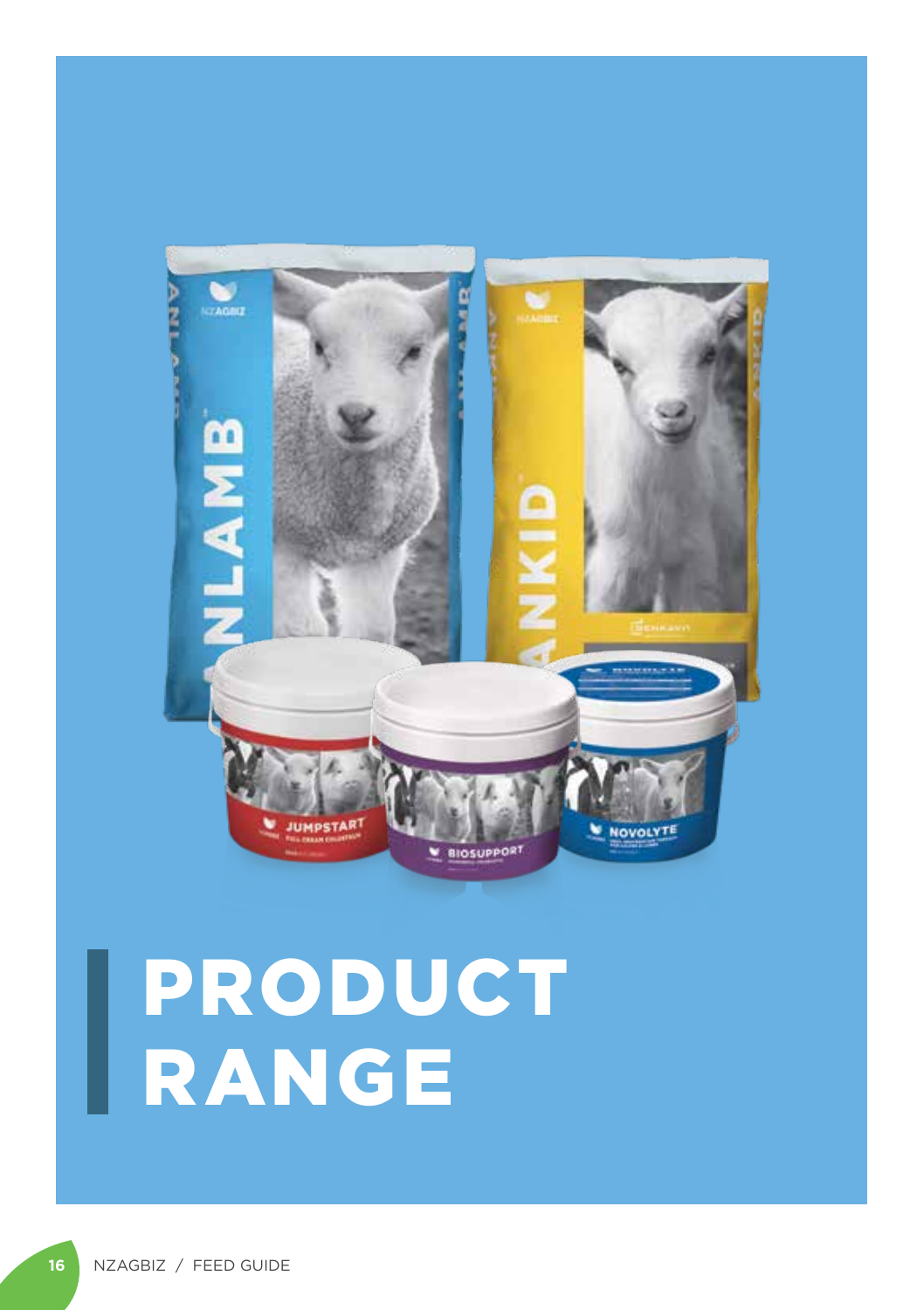

# PRODUCT RANGE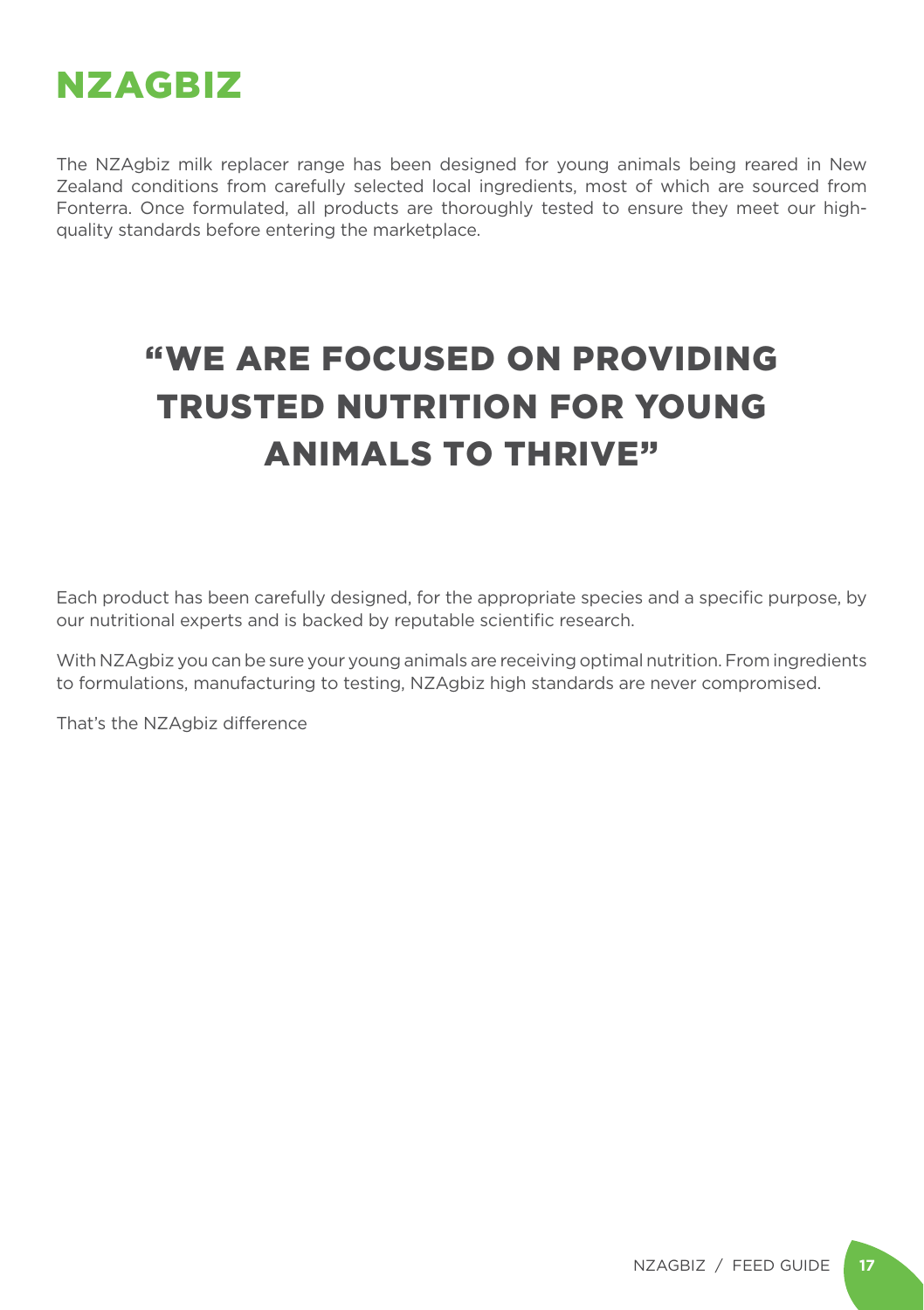

The NZAgbiz milk replacer range has been designed for young animals being reared in New Zealand conditions from carefully selected local ingredients, most of which are sourced from Fonterra. Once formulated, all products are thoroughly tested to ensure they meet our highquality standards before entering the marketplace.

### "WE ARE FOCUSED ON PROVIDING TRUSTED NUTRITION FOR YOUNG ANIMALS TO THRIVE"

Each product has been carefully designed, for the appropriate species and a specific purpose, by our nutritional experts and is backed by reputable scientific research.

With NZAgbiz you can be sure your young animals are receiving optimal nutrition. From ingredients to formulations, manufacturing to testing, NZAgbiz high standards are never compromised.

That's the NZAgbiz difference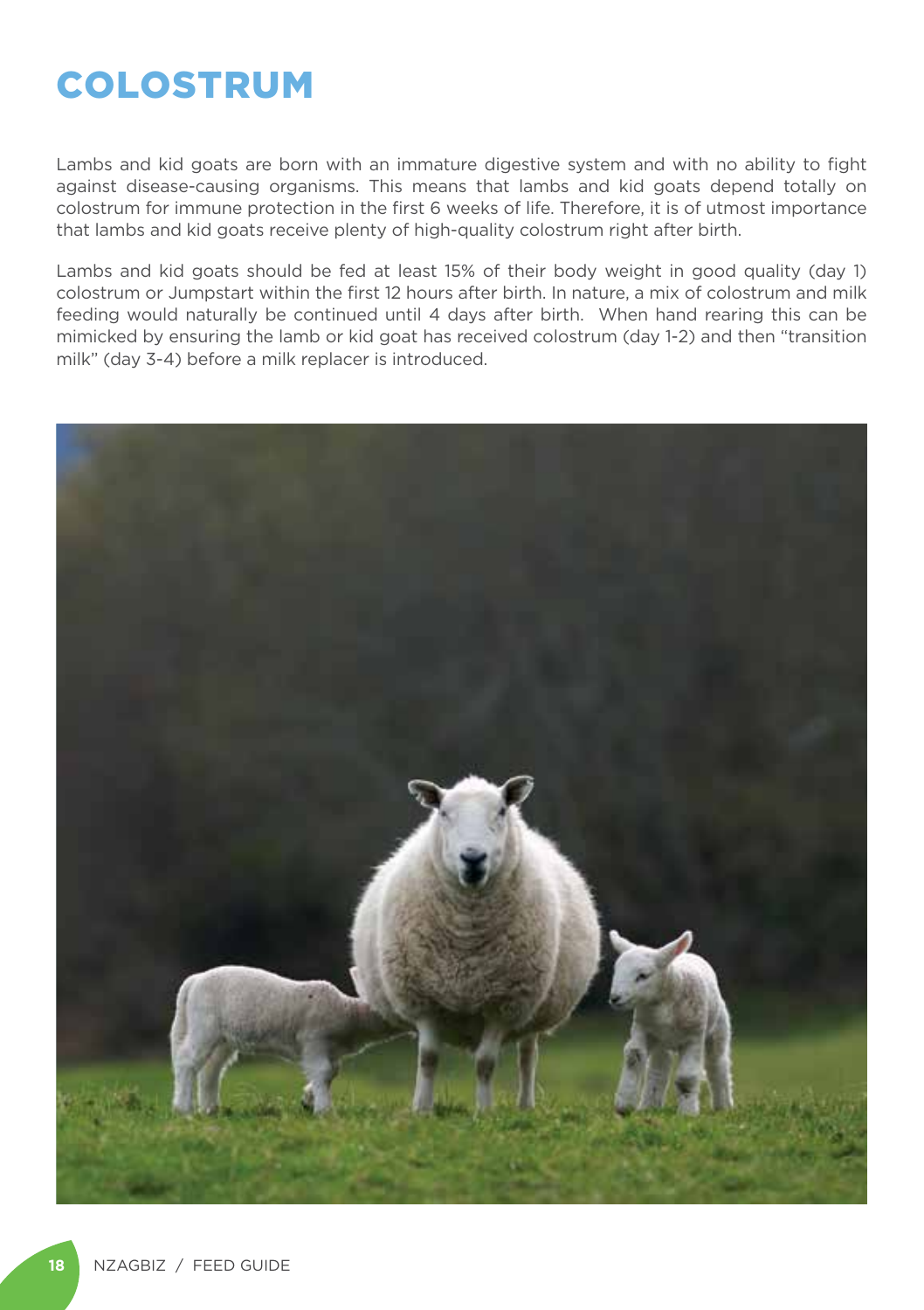### COLOSTRUM

Lambs and kid goats are born with an immature digestive system and with no ability to fight against disease-causing organisms. This means that lambs and kid goats depend totally on colostrum for immune protection in the first 6 weeks of life. Therefore, it is of utmost importance that lambs and kid goats receive plenty of high-quality colostrum right after birth.

Lambs and kid goats should be fed at least 15% of their body weight in good quality (day 1) colostrum or Jumpstart within the first 12 hours after birth. In nature, a mix of colostrum and milk feeding would naturally be continued until 4 days after birth. When hand rearing this can be mimicked by ensuring the lamb or kid goat has received colostrum (day 1-2) and then "transition milk" (day 3-4) before a milk replacer is introduced.

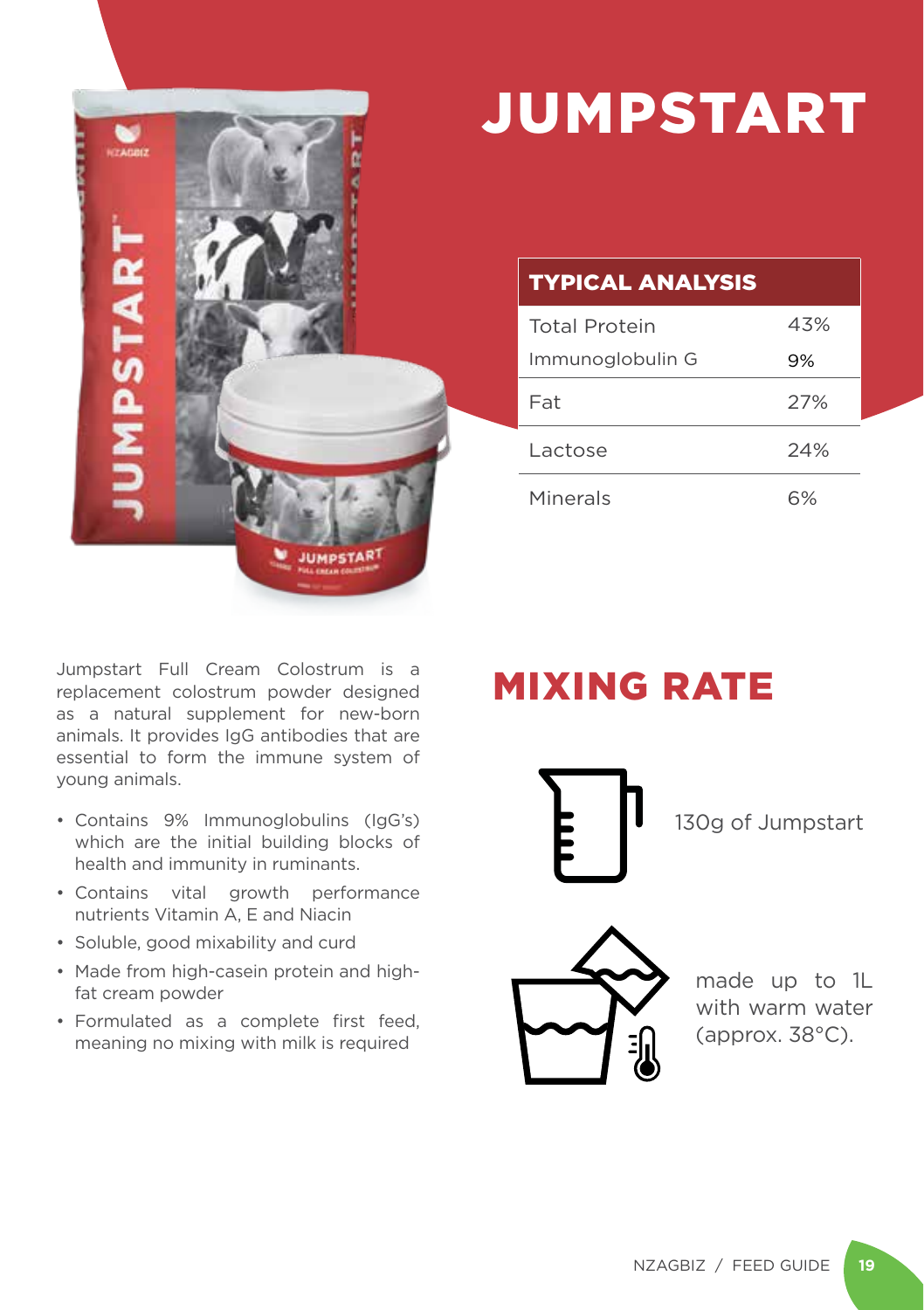

## JUMPSTART

### TYPICAL ANALYSIS

| <b>Total Protein</b> | 43% |
|----------------------|-----|
| Immunoglobulin G     | 9%  |
| Fat                  | 27% |
| Lactose              | 24% |
| Minerals             | 6%  |

Jumpstart Full Cream Colostrum is a replacement colostrum powder designed as a natural supplement for new-born animals. It provides IgG antibodies that are essential to form the immune system of young animals.

- Contains 9% Immunoglobulins (IgG's) which are the initial building blocks of health and immunity in ruminants.
- Contains vital growth performance nutrients Vitamin A, E and Niacin
- Soluble, good mixability and curd
- Made from high-casein protein and highfat cream powder
- Formulated as a complete first feed, meaning no mixing with milk is required

### MIXING RATE

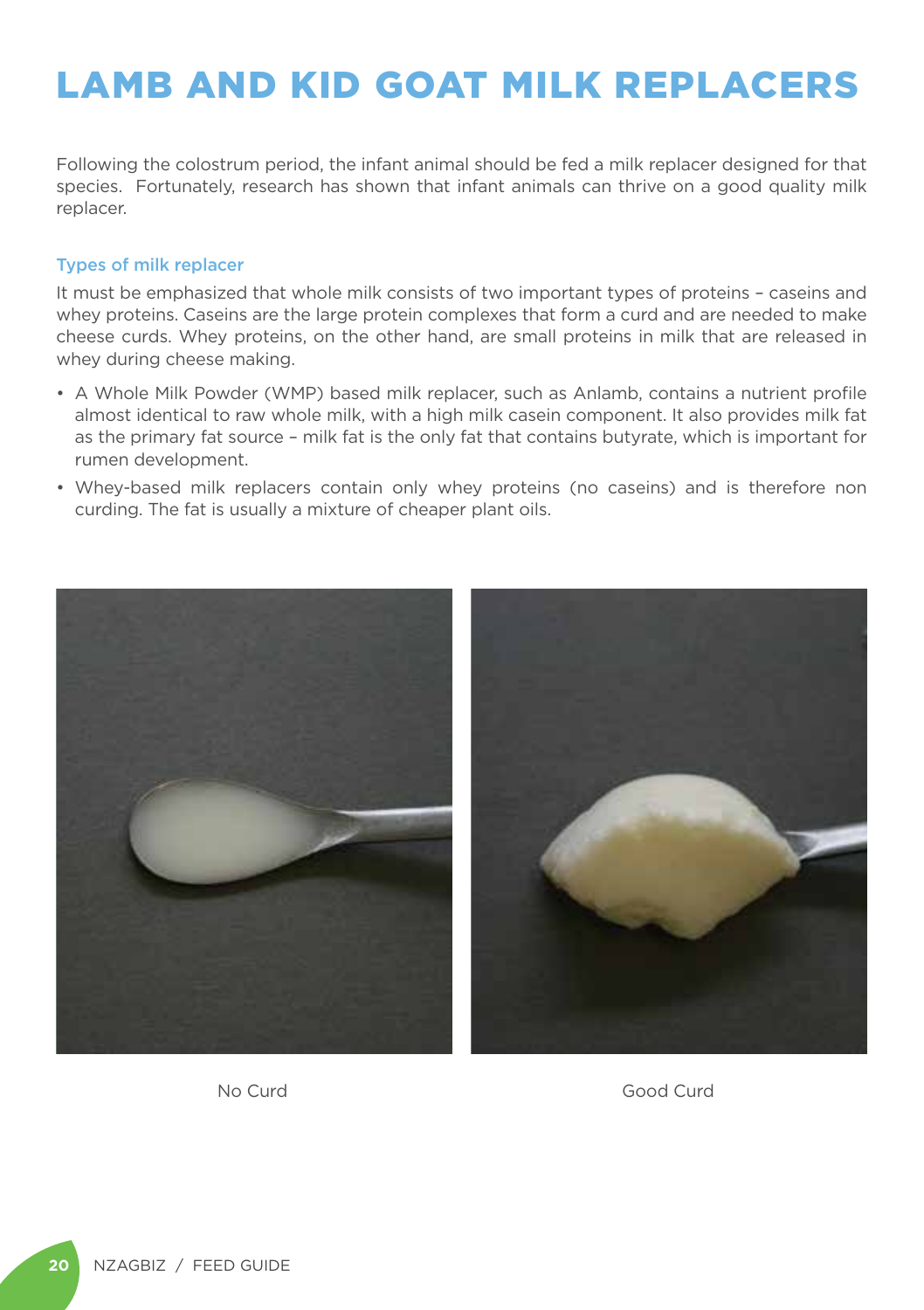### LAMB AND KID GOAT MILK REPLACERS

Following the colostrum period, the infant animal should be fed a milk replacer designed for that species. Fortunately, research has shown that infant animals can thrive on a good quality milk replacer.

#### Types of milk replacer

It must be emphasized that whole milk consists of two important types of proteins – caseins and whey proteins. Caseins are the large protein complexes that form a curd and are needed to make cheese curds. Whey proteins, on the other hand, are small proteins in milk that are released in whey during cheese making.

- A Whole Milk Powder (WMP) based milk replacer, such as Anlamb, contains a nutrient profile almost identical to raw whole milk, with a high milk casein component. It also provides milk fat as the primary fat source – milk fat is the only fat that contains butyrate, which is important for rumen development.
- Whey-based milk replacers contain only whey proteins (no caseins) and is therefore non curding. The fat is usually a mixture of cheaper plant oils.



No Curd Good Curd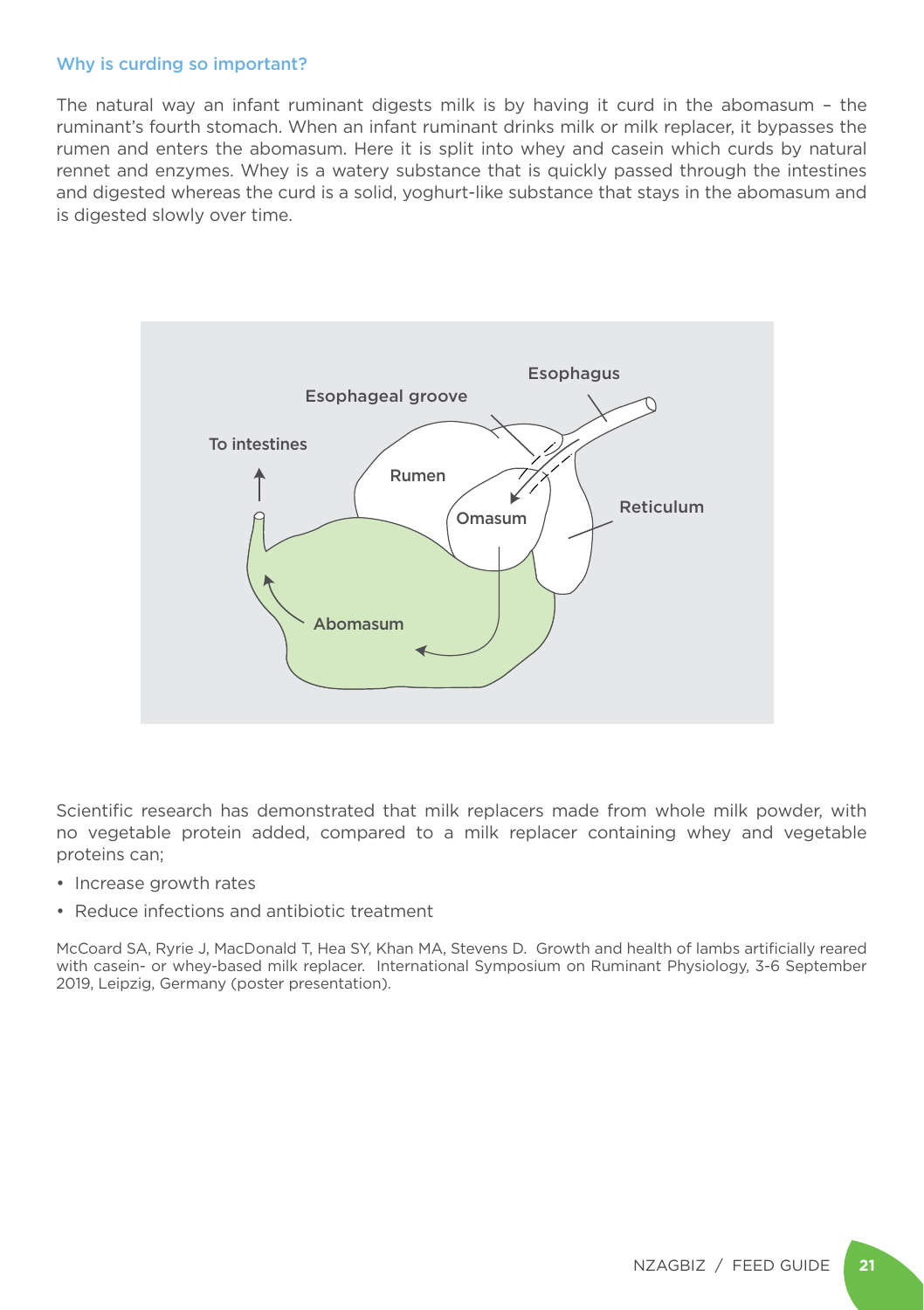#### Why is curding so important?

The natural way an infant ruminant digests milk is by having it curd in the abomasum – the ruminant's fourth stomach. When an infant ruminant drinks milk or milk replacer, it bypasses the rumen and enters the abomasum. Here it is split into whey and casein which curds by natural rennet and enzymes. Whey is a watery substance that is quickly passed through the intestines and digested whereas the curd is a solid, yoghurt-like substance that stays in the abomasum and is digested slowly over time.



Scientific research has demonstrated that milk replacers made from whole milk powder, with no vegetable protein added, compared to a milk replacer containing whey and vegetable proteins can;

- Increase growth rates
- Reduce infections and antibiotic treatment

McCoard SA, Ryrie J, MacDonald T, Hea SY, Khan MA, Stevens D. Growth and health of lambs artificially reared with casein- or whey-based milk replacer. International Symposium on Ruminant Physiology, 3-6 September 2019, Leipzig, Germany (poster presentation).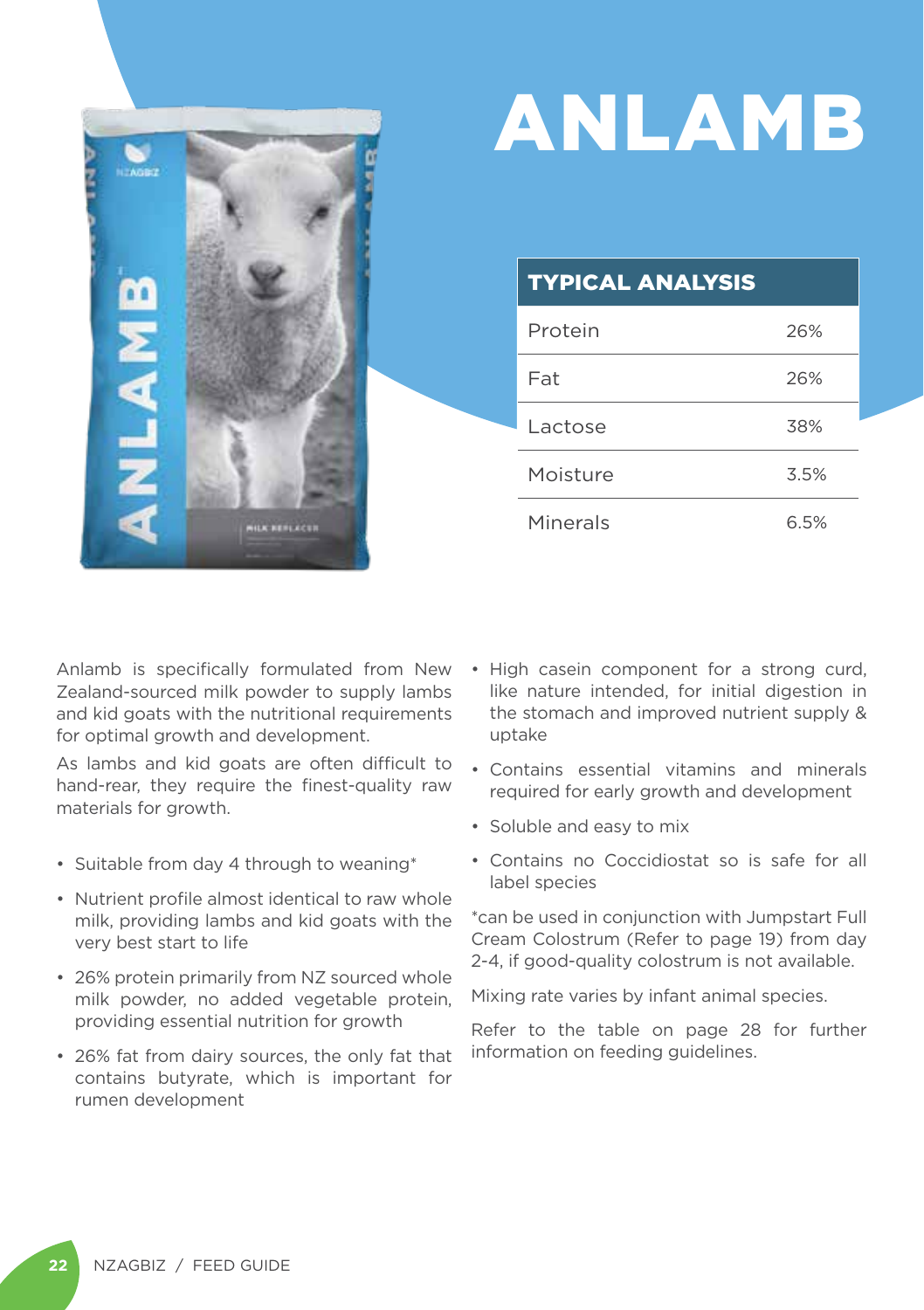

# ANLAMB

### TYPICAL ANALYSIS

| Protein  | 26%  |
|----------|------|
| Fat      | 26%  |
| Lactose  | 38%  |
| Moisture | 3.5% |
| Minerals | 6.5% |

Anlamb is specifically formulated from New Zealand-sourced milk powder to supply lambs and kid goats with the nutritional requirements for optimal growth and development.

As lambs and kid goats are often difficult to hand-rear, they require the finest-quality raw materials for growth.

- Suitable from day 4 through to weaning\*
- Nutrient profile almost identical to raw whole milk, providing lambs and kid goats with the very best start to life
- 26% protein primarily from NZ sourced whole milk powder, no added vegetable protein, providing essential nutrition for growth
- 26% fat from dairy sources, the only fat that contains butyrate, which is important for rumen development
- High casein component for a strong curd, like nature intended, for initial digestion in the stomach and improved nutrient supply & uptake
- Contains essential vitamins and minerals required for early growth and development
- Soluble and easy to mix
- Contains no Coccidiostat so is safe for all label species

\*can be used in conjunction with Jumpstart Full Cream Colostrum (Refer to page 19) from day 2-4, if good-quality colostrum is not available.

Mixing rate varies by infant animal species.

Refer to the table on page 28 for further information on feeding quidelines.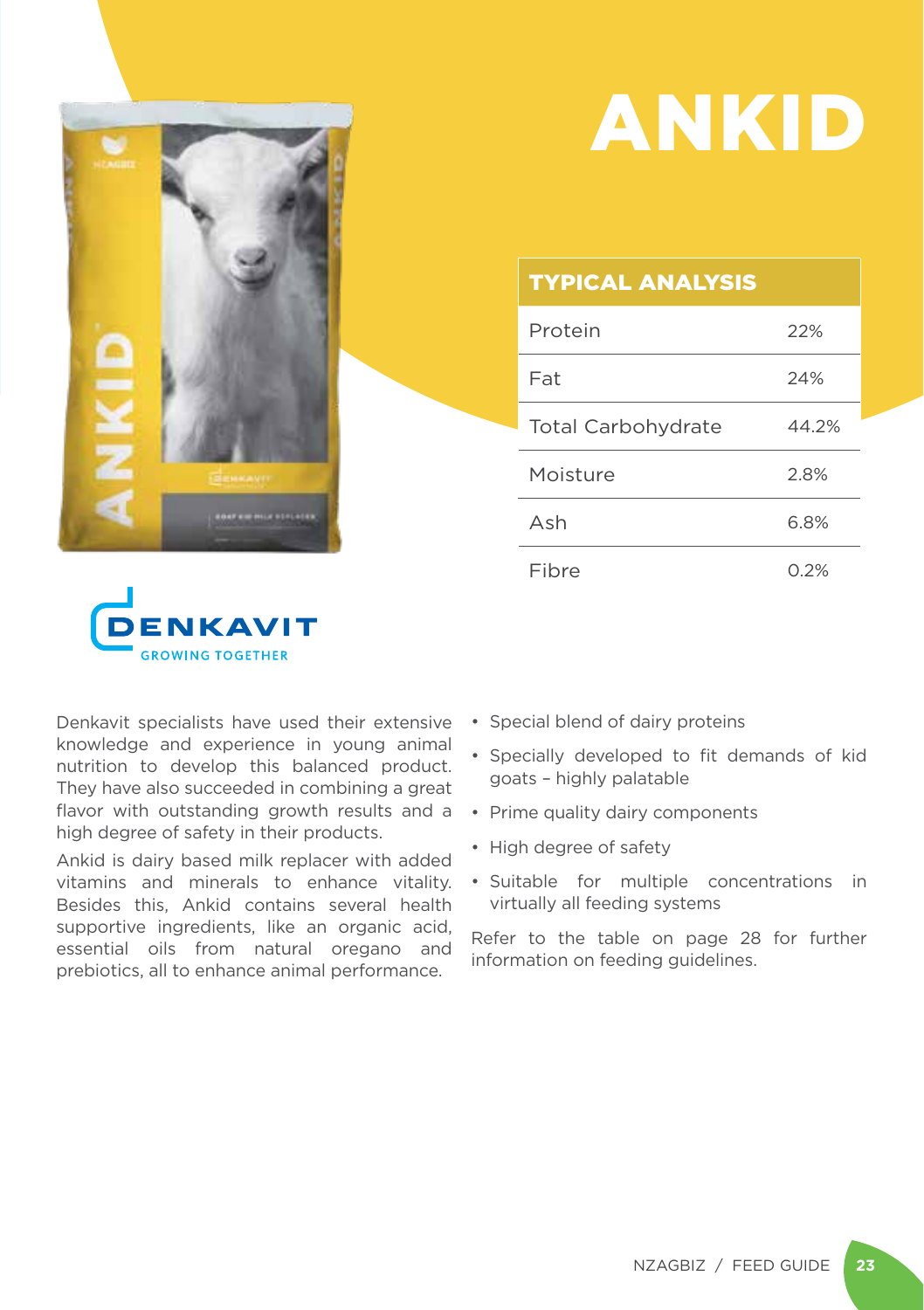

## ANKID

#### TYPICAL ANALYSIS

| Protein                   | 22%   |
|---------------------------|-------|
| Fat                       | 24%   |
| <b>Total Carbohydrate</b> | 44.2% |
| Moisture                  | 2.8%  |
| Ash                       | 6.8%  |
| Fibre                     | 0.2%  |



Denkavit specialists have used their extensive knowledge and experience in young animal nutrition to develop this balanced product. They have also succeeded in combining a great flavor with outstanding growth results and a high degree of safety in their products.

Ankid is dairy based milk replacer with added vitamins and minerals to enhance vitality. Besides this, Ankid contains several health supportive ingredients, like an organic acid, essential oils from natural oregano and prebiotics, all to enhance animal performance.

- Special blend of dairy proteins
- Specially developed to fit demands of kid goats – highly palatable
- Prime quality dairy components
- High degree of safety
- Suitable for multiple concentrations in virtually all feeding systems

Refer to the table on page 28 for further information on feeding guidelines.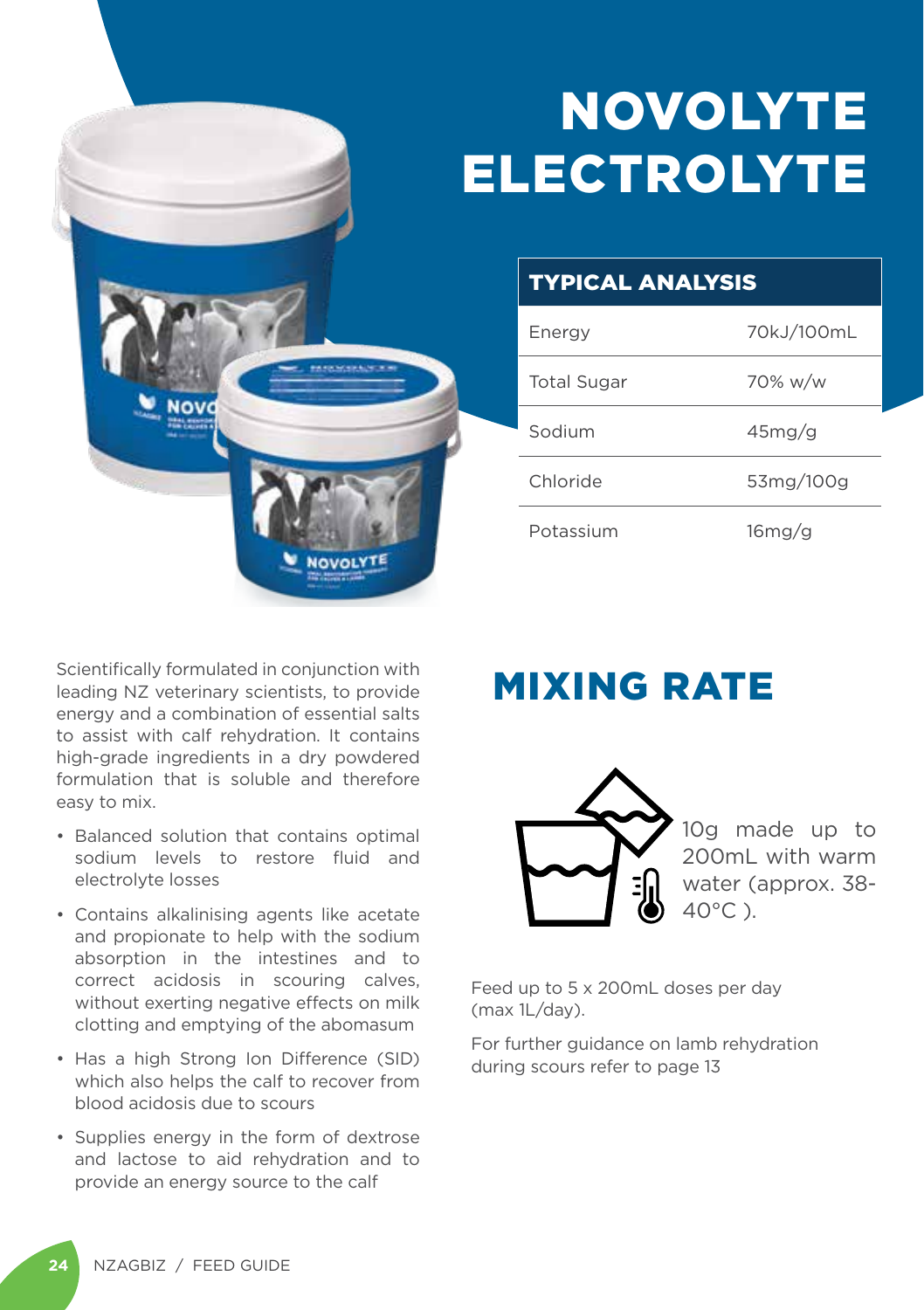## NOVOLYTE ELECTROLYTE



### TYPICAL ANALYSIS

| Energy             | 70kJ/100mL |
|--------------------|------------|
| <b>Total Sugar</b> | 70% w/w    |
| Sodium             | 45mg/q     |
| Chloride           | 53mg/100g  |
| Potassium          | $16$ mg/g  |

Scientifically formulated in conjunction with leading NZ veterinary scientists, to provide energy and a combination of essential salts to assist with calf rehydration. It contains high-grade ingredients in a dry powdered formulation that is soluble and therefore easy to mix.

- Balanced solution that contains optimal sodium levels to restore fluid and electrolyte losses
- Contains alkalinising agents like acetate and propionate to help with the sodium absorption in the intestines and to correct acidosis in scouring calves, without exerting negative effects on milk clotting and emptying of the abomasum
- Has a high Strong Ion Difference (SID) which also helps the calf to recover from blood acidosis due to scours
- Supplies energy in the form of dextrose and lactose to aid rehydration and to provide an energy source to the calf

### MIXING RATE



10g made up to 200mL with warm water (approx. 38- 40°C ).

Feed up to 5 x 200mL doses per day (max 1L/day).

For further guidance on lamb rehydration during scours refer to page 13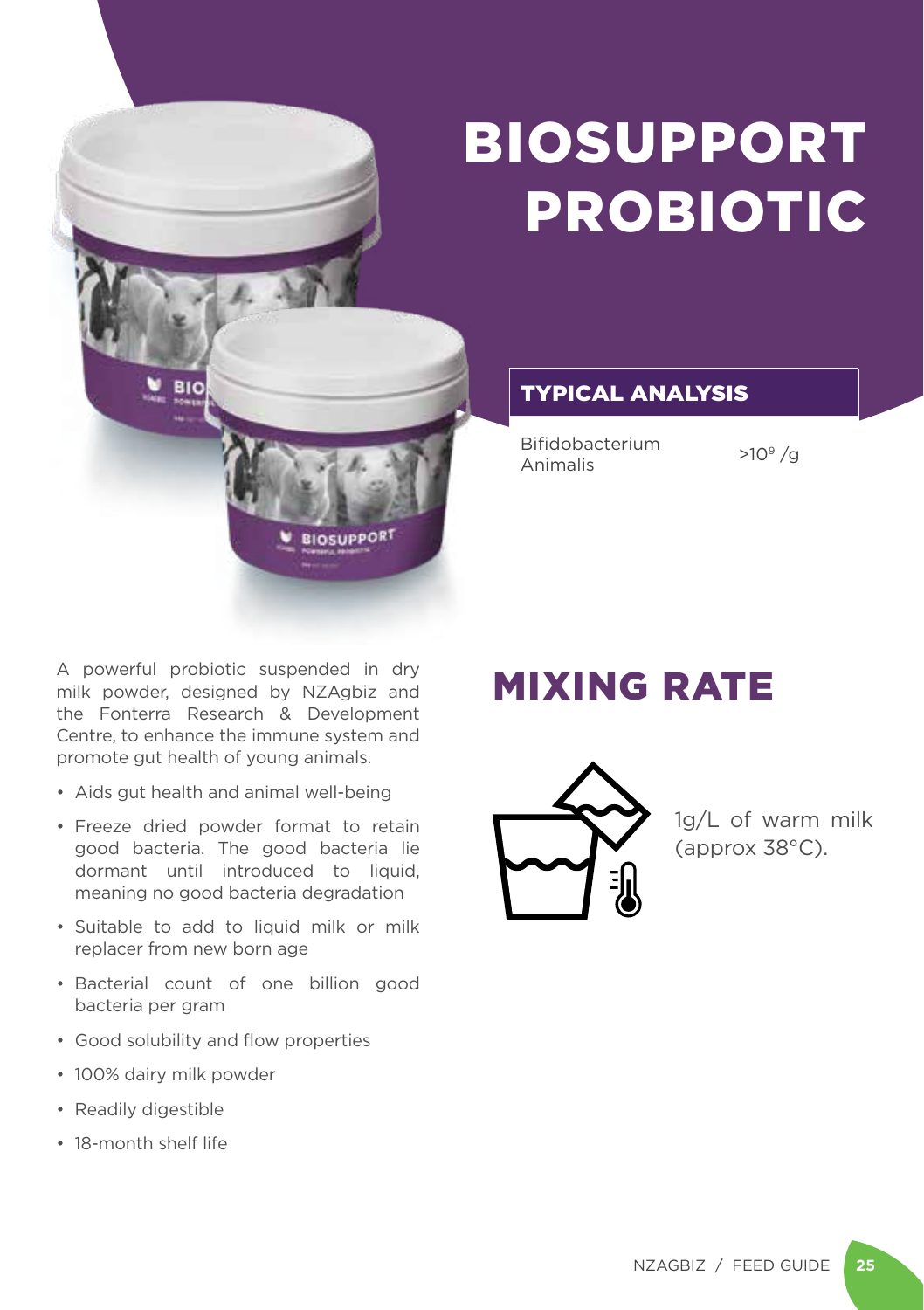

## BIOSUPPORT PROBIOTIC

TYPICAL ANALYSIS

Bifidobacterium Animalis >109 /g

A powerful probiotic suspended in dry milk powder, designed by NZAgbiz and the Fonterra Research & Development Centre, to enhance the immune system and promote gut health of young animals.

- Aids gut health and animal well-being
- Freeze dried powder format to retain good bacteria. The good bacteria lie dormant until introduced to liquid, meaning no good bacteria degradation
- Suitable to add to liquid milk or milk replacer from new born age
- Bacterial count of one billion good bacteria per gram
- Good solubility and flow properties
- 100% dairy milk powder
- Readily digestible
- 18-month shelf life

### MIXING RATE



1g/L of warm milk (approx 38°C).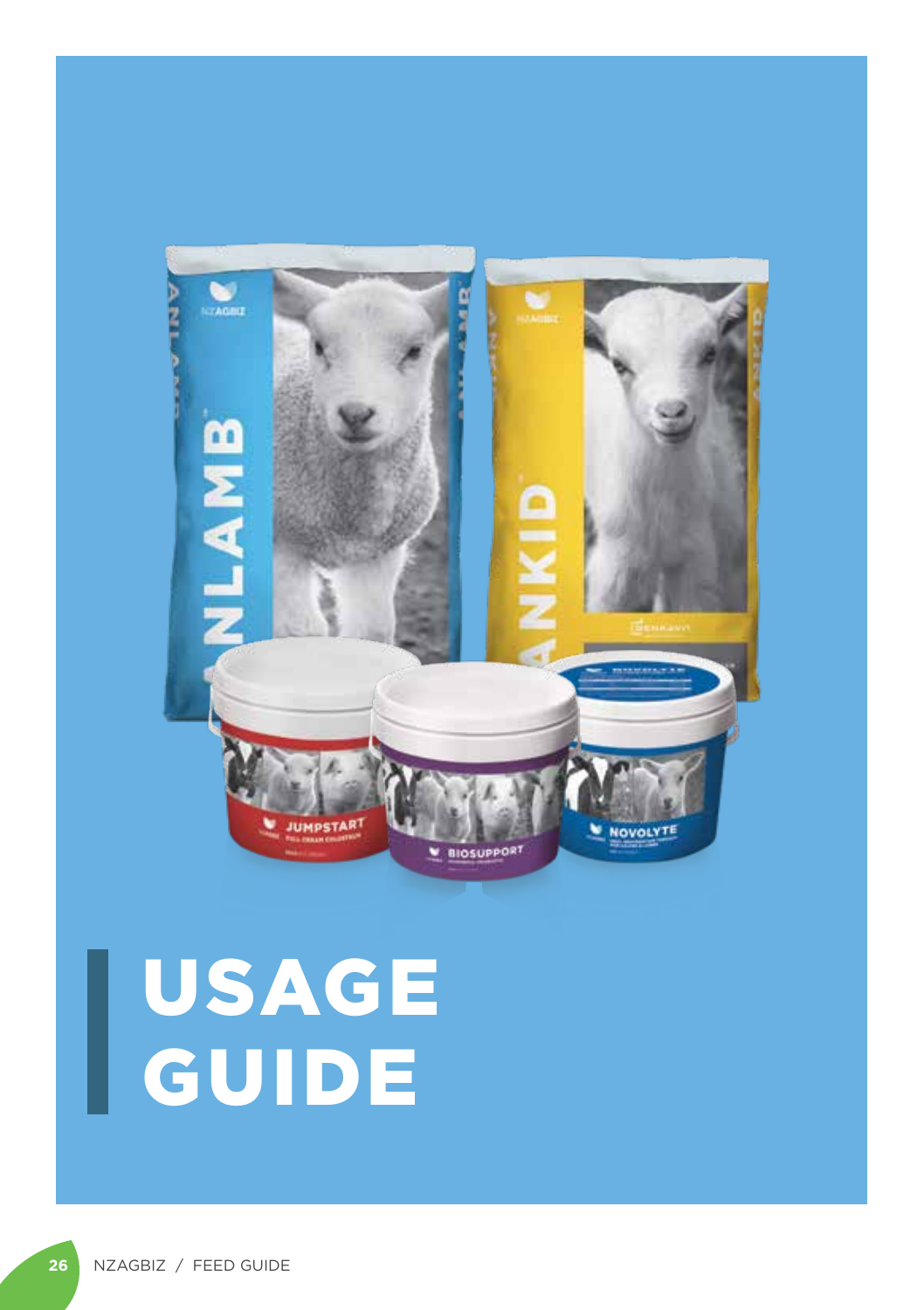

# USAGE GUIDE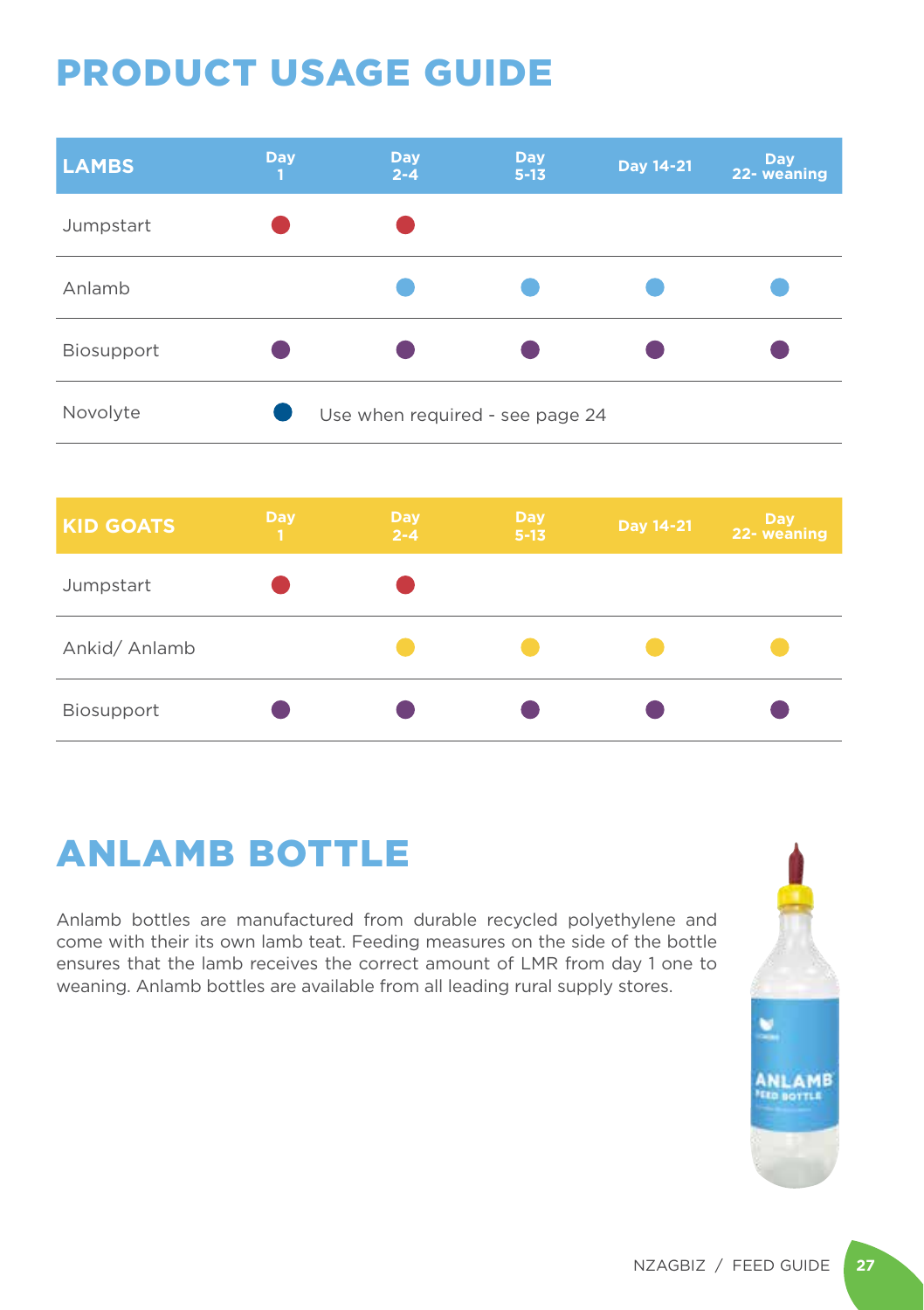### PRODUCT USAGE GUIDE

| <b>LAMBS</b>      | <b>Day</b><br>п | <b>Day</b><br>$2 - 4$           | <b>Day</b><br>$5 - 13$ | Day 14-21 | Day<br>22- weaning |
|-------------------|-----------------|---------------------------------|------------------------|-----------|--------------------|
| Jumpstart         |                 |                                 |                        |           |                    |
| Anlamb            |                 |                                 |                        |           |                    |
| <b>Biosupport</b> |                 |                                 |                        |           |                    |
| Novolyte          |                 | Use when required - see page 24 |                        |           |                    |

| <b>KID GOATS</b> | <b>Day</b><br>١T. | <b>Day</b><br>$2 - 4$ | <b>Day</b><br>$5 - 13$ | Day 14-21 | <b>Day</b><br>22- weaning |
|------------------|-------------------|-----------------------|------------------------|-----------|---------------------------|
| Jumpstart        |                   |                       |                        |           |                           |
| Ankid/ Anlamb    |                   |                       |                        |           |                           |
| Biosupport       |                   |                       |                        |           |                           |

### ANLAMB BOTTLE

Anlamb bottles are manufactured from durable recycled polyethylene and come with their its own lamb teat. Feeding measures on the side of the bottle ensures that the lamb receives the correct amount of LMR from day 1 one to weaning. Anlamb bottles are available from all leading rural supply stores.

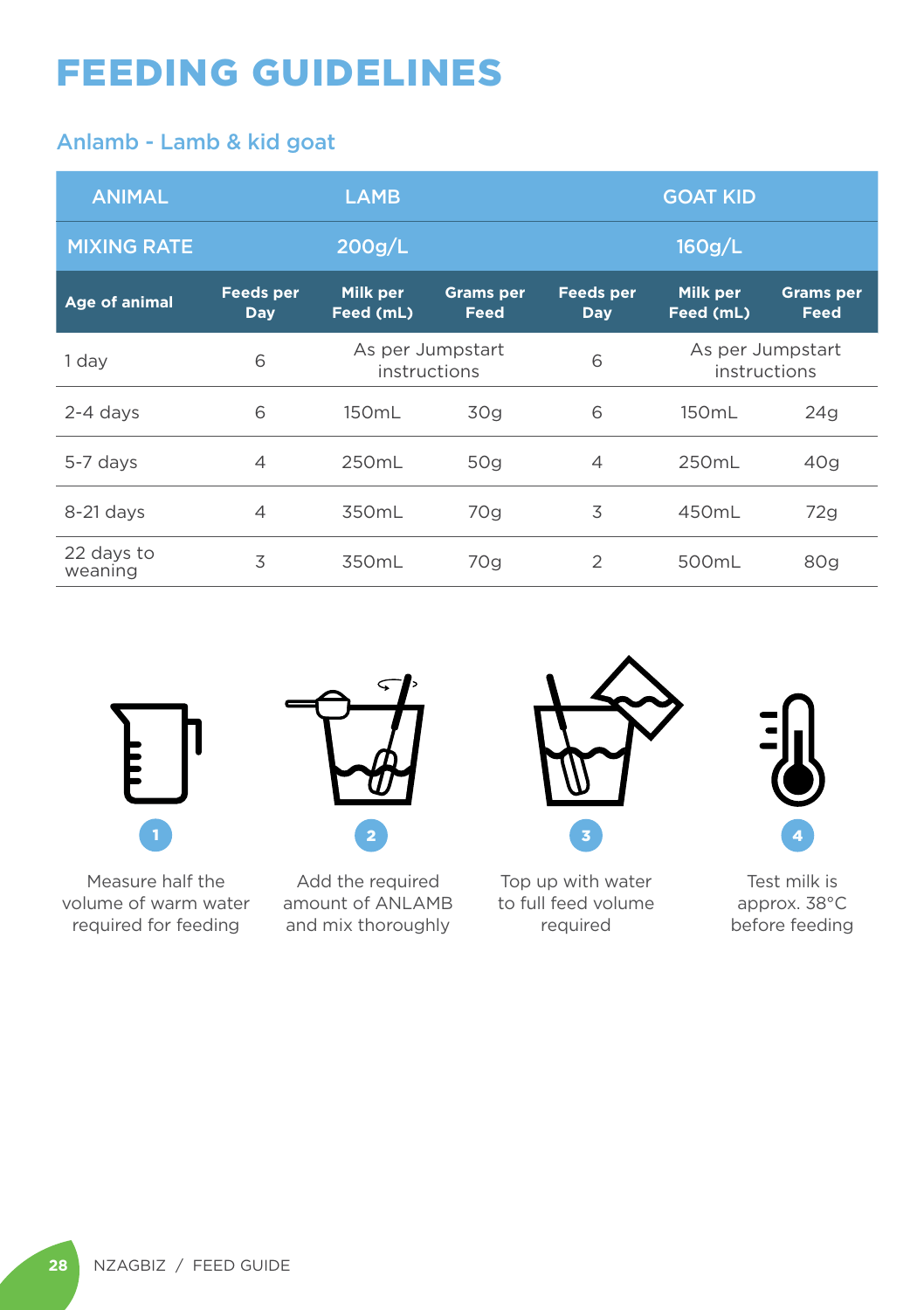### FEEDING GUIDELINES

#### Anlamb - Lamb & kid goat

| <b>ANIMAL</b>         | <b>LAMB</b>                    |                                  |                          | <b>GOAT KID</b>                |                                  |                          |
|-----------------------|--------------------------------|----------------------------------|--------------------------|--------------------------------|----------------------------------|--------------------------|
| <b>MIXING RATE</b>    |                                | 200g/L                           |                          |                                | 160g/L                           |                          |
| Age of animal         | <b>Feeds per</b><br><b>Day</b> | Milk per<br>Feed (mL)            | <b>Grams</b> per<br>Feed | <b>Feeds per</b><br><b>Day</b> | Milk per<br>Feed (mL)            | <b>Grams</b> per<br>Feed |
| 1 day                 | 6                              | As per Jumpstart<br>instructions |                          | 6                              | As per Jumpstart<br>instructions |                          |
| $2 - 4$ days          | 6                              | 150mL                            | 30g                      | 6                              | 150mL                            | 24q                      |
| 5-7 days              | $\overline{4}$                 | 250mL                            | 50g                      | $\overline{4}$                 | 250mL                            | 40q                      |
| $8-21$ days           | $\overline{4}$                 | 350mL                            | 70g                      | 3                              | 450mL                            | 72g                      |
| 22 days to<br>weaning | 3                              | 350mL                            | 70g                      | $\mathcal{P}$                  | 500mL                            | 80g                      |



Measure half the volume of warm water required for feeding



Add the required amount of ANLAMB and mix thoroughly



Top up with water to full feed volume required

4

Test milk is approx. 38°C before feeding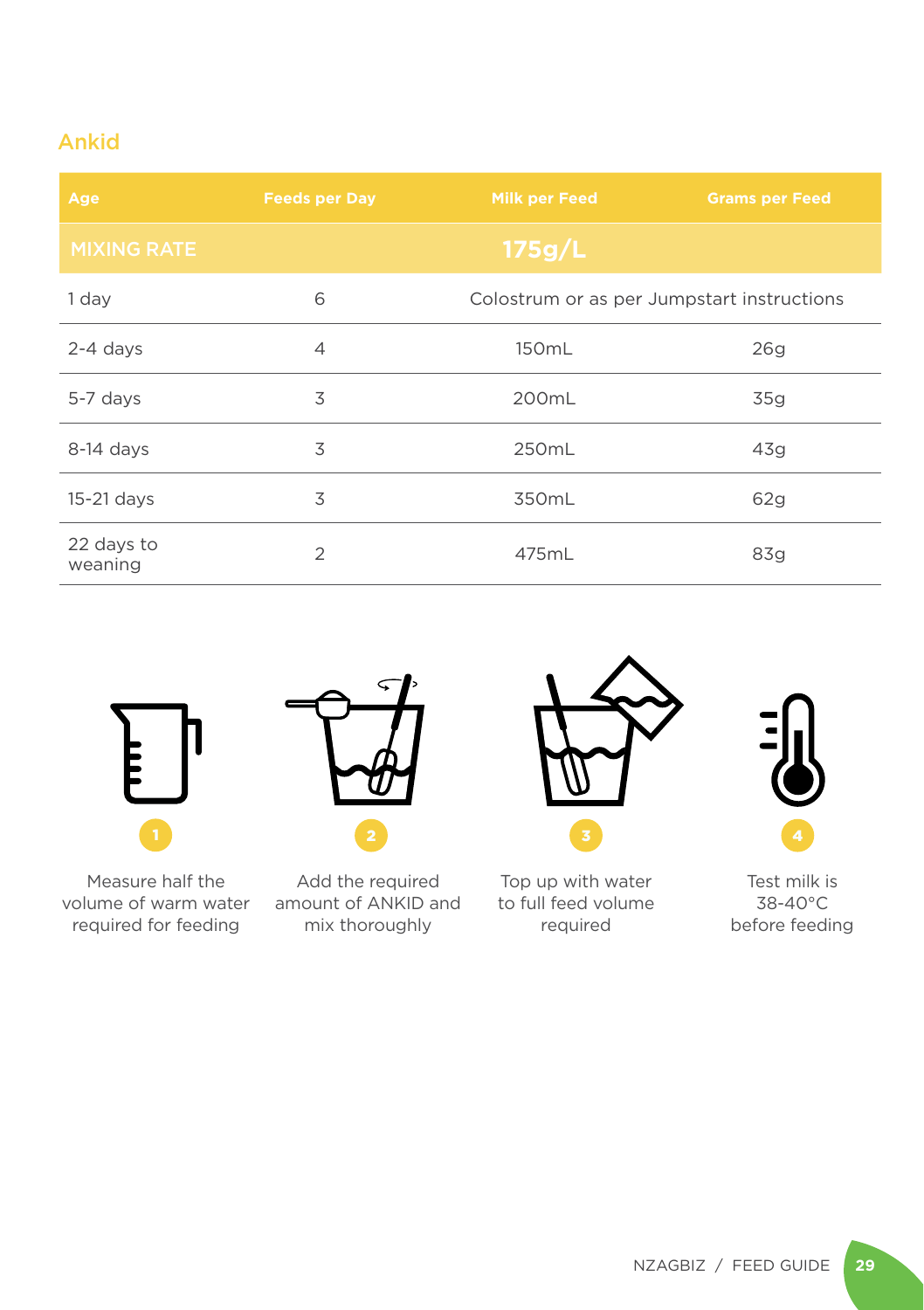### Ankid

| Age                   | <b>Feeds per Day</b> | Milk per Feed                              | <b>Grams per Feed</b> |
|-----------------------|----------------------|--------------------------------------------|-----------------------|
| <b>MIXING RATE</b>    |                      | 175g/L                                     |                       |
| 1 day                 | 6                    | Colostrum or as per Jumpstart instructions |                       |
| $2-4$ days            | 4                    | 150mL                                      | 26q                   |
| 5-7 days              | 3                    | 200mL                                      | 35g                   |
| 8-14 days             | 3                    | 250mL                                      | 43q                   |
| 15-21 days            | 3                    | 350mL                                      | 62g                   |
| 22 days to<br>weaning | $\overline{2}$       | 475mL                                      | 83g                   |



Measure half the volume of warm water required for feeding



Add the required amount of ANKID and mix thoroughly



Top up with water to full feed volume required

Test milk is 38-40°C before feeding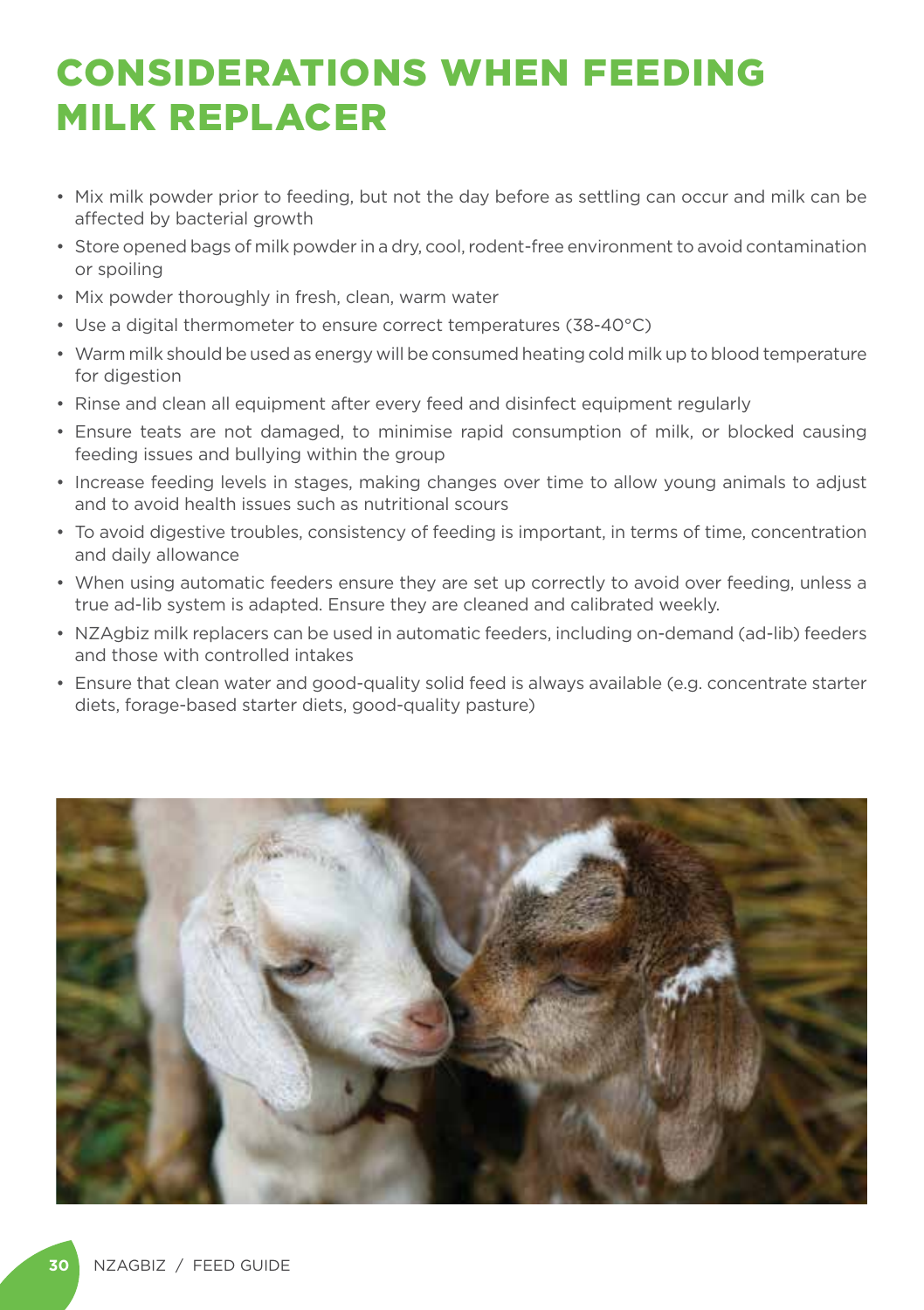### CONSIDERATIONS WHEN FEEDING MILK REPLACER

- Mix milk powder prior to feeding, but not the day before as settling can occur and milk can be affected by bacterial growth
- Store opened bags of milk powder in a dry, cool, rodent-free environment to avoid contamination or spoiling
- Mix powder thoroughly in fresh, clean, warm water
- Use a digital thermometer to ensure correct temperatures (38-40°C)
- Warm milk should be used as energy will be consumed heating cold milk up to blood temperature for digestion
- Rinse and clean all equipment after every feed and disinfect equipment regularly
- Ensure teats are not damaged, to minimise rapid consumption of milk, or blocked causing feeding issues and bullying within the group
- Increase feeding levels in stages, making changes over time to allow young animals to adjust and to avoid health issues such as nutritional scours
- To avoid digestive troubles, consistency of feeding is important, in terms of time, concentration and daily allowance
- When using automatic feeders ensure they are set up correctly to avoid over feeding, unless a true ad-lib system is adapted. Ensure they are cleaned and calibrated weekly.
- NZAgbiz milk replacers can be used in automatic feeders, including on-demand (ad-lib) feeders and those with controlled intakes
- Ensure that clean water and good-quality solid feed is always available (e.g. concentrate starter diets, forage-based starter diets, good-quality pasture)

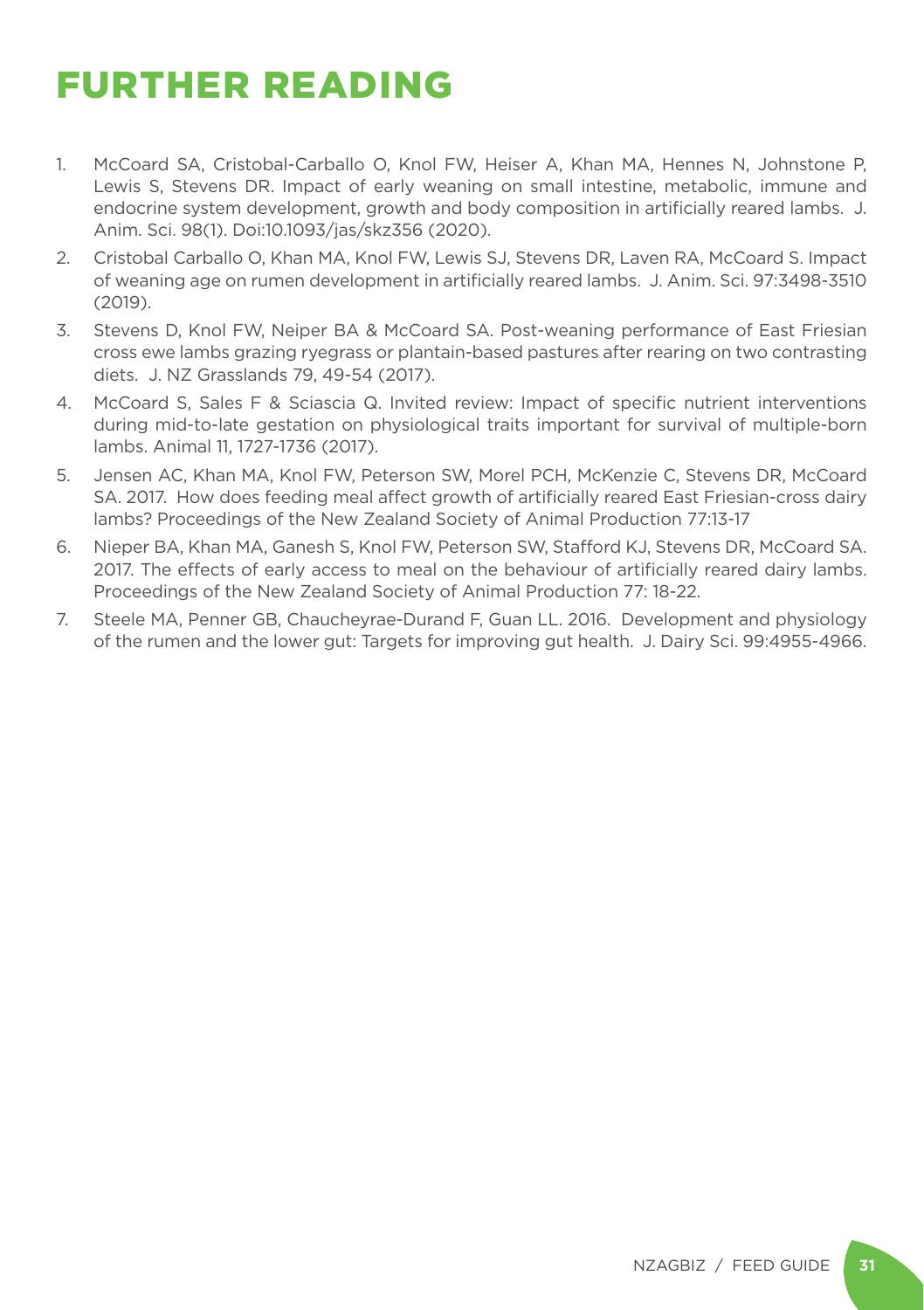### FURTHER READING

- 1. McCoard SA, Cristobal-Carballo O, Knol FW, Heiser A, Khan MA, Hennes N, Johnstone P, Lewis S, Stevens DR. Impact of early weaning on small intestine, metabolic, immune and endocrine system development, growth and body composition in artificially reared lambs. J. Anim. Sci. 98(1). Doi:10.1093/jas/skz356 (2020).
- 2. Cristobal Carballo O, Khan MA, Knol FW, Lewis SJ, Stevens DR, Laven RA, McCoard S. Impact of weaning age on rumen development in artificially reared lambs. J. Anim. Sci. 97:3498-3510 (2019).
- 3. Stevens D, Knol FW, Neiper BA & McCoard SA. Post-weaning performance of East Friesian cross ewe lambs grazing ryegrass or plantain-based pastures after rearing on two contrasting diets. J. NZ Grasslands 79, 49-54 (2017).
- 4. McCoard S, Sales F & Sciascia Q. Invited review: Impact of specific nutrient interventions during mid-to-late gestation on physiological traits important for survival of multiple-born lambs. Animal 11, 1727-1736 (2017).
- 5. Jensen AC, Khan MA, Knol FW, Peterson SW, Morel PCH, McKenzie C, Stevens DR, McCoard SA. 2017. How does feeding meal affect growth of artificially reared East Friesian-cross dairy lambs? Proceedings of the New Zealand Society of Animal Production 77:13-17
- 6. Nieper BA, Khan MA, Ganesh S, Knol FW, Peterson SW, Stafford KJ, Stevens DR, McCoard SA. 2017. The effects of early access to meal on the behaviour of artificially reared dairy lambs. Proceedings of the New Zealand Society of Animal Production 77: 18-22.
- 7. Steele MA, Penner GB, Chaucheyrae-Durand F, Guan LL. 2016. Development and physiology of the rumen and the lower gut: Targets for improving gut health. J. Dairy Sci. 99:4955-4966.